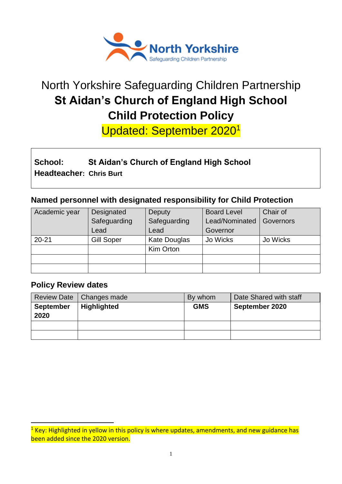

# North Yorkshire Safeguarding Children Partnership **St Aidan's Church of England High School Child Protection Policy**

Updated: September 2020<sup>1</sup>

# **School: St Aidan's Church of England High School Headteacher: Chris Burt**

# **Named personnel with designated responsibility for Child Protection**

| Academic year | Designated        | Deputy              | <b>Board Level</b> | Chair of  |
|---------------|-------------------|---------------------|--------------------|-----------|
|               | Safeguarding      | Safeguarding        | Lead/Nominated     | Governors |
|               | Lead              | Lead                | Governor           |           |
| $20 - 21$     | <b>Gill Soper</b> | <b>Kate Douglas</b> | Jo Wicks           | Jo Wicks  |
|               |                   | Kim Orton           |                    |           |
|               |                   |                     |                    |           |
|               |                   |                     |                    |           |

# **Policy Review dates**

1

|                          | Review Date   Changes made | By whom    | Date Shared with staff |
|--------------------------|----------------------------|------------|------------------------|
| <b>September</b><br>2020 | <b>Highlighted</b>         | <b>GMS</b> | September 2020         |
|                          |                            |            |                        |
|                          |                            |            |                        |

<sup>&</sup>lt;sup>1</sup> Key: Highlighted in yellow in this policy is where updates, amendments, and new guidance has been added since the 2020 version.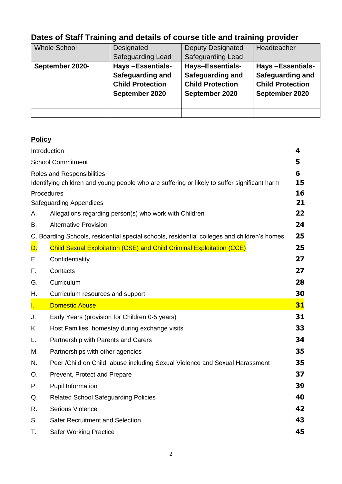# **Dates of Staff Training and details of course title and training provider**

| <b>Whole School</b> | Designated               | <b>Deputy Designated</b> | Headteacher             |
|---------------------|--------------------------|--------------------------|-------------------------|
|                     | <b>Safeguarding Lead</b> | <b>Safeguarding Lead</b> |                         |
| September 2020-     | <b>Hays-Essentials-</b>  | <b>Hays-Essentials-</b>  | <b>Hays-Essentials-</b> |
|                     | <b>Safeguarding and</b>  | <b>Safeguarding and</b>  | <b>Safeguarding and</b> |
|                     | <b>Child Protection</b>  | <b>Child Protection</b>  | <b>Child Protection</b> |
|                     | September 2020           | September 2020           | September 2020          |
|                     |                          |                          |                         |
|                     |                          |                          |                         |

# **Policy**

| Introduction |                                                                                                                            | 4        |
|--------------|----------------------------------------------------------------------------------------------------------------------------|----------|
|              | <b>School Commitment</b>                                                                                                   | 5        |
|              | Roles and Responsibilities<br>Identifying children and young people who are suffering or likely to suffer significant harm | 6<br>15  |
| Procedures   | <b>Safeguarding Appendices</b>                                                                                             | 16<br>21 |
| А.           | Allegations regarding person(s) who work with Children                                                                     | 22       |
| В.           | <b>Alternative Provision</b>                                                                                               | 24       |
|              | C. Boarding Schools, residential special schools, residential colleges and children's homes                                | 25       |
| D.           | <b>Child Sexual Exploitation (CSE) and Child Criminal Exploitation (CCE)</b>                                               | 25       |
| Е.           | Confidentiality                                                                                                            | 27       |
| F.           | Contacts                                                                                                                   | 27       |
| G.           | Curriculum                                                                                                                 | 28       |
| Н.           | Curriculum resources and support                                                                                           | 30       |
| Ī.           | <b>Domestic Abuse</b>                                                                                                      | 31       |
| J.           | Early Years (provision for Children 0-5 years)                                                                             | 31       |
| Κ.           | Host Families, homestay during exchange visits                                                                             | 33       |
| L.           | Partnership with Parents and Carers                                                                                        | 34       |
| М.           | Partnerships with other agencies                                                                                           | 35       |
| N.           | Peer / Child on Child abuse including Sexual Violence and Sexual Harassment                                                | 35       |
| О.           | Prevent, Protect and Prepare                                                                                               | 37       |
| Ρ.           | Pupil Information                                                                                                          | 39       |
| Q.           | <b>Related School Safeguarding Policies</b>                                                                                | 40       |
| R.           | Serious Violence                                                                                                           | 42       |
| S.           | <b>Safer Recruitment and Selection</b>                                                                                     | 43       |
| Τ.           | <b>Safer Working Practice</b>                                                                                              | 45       |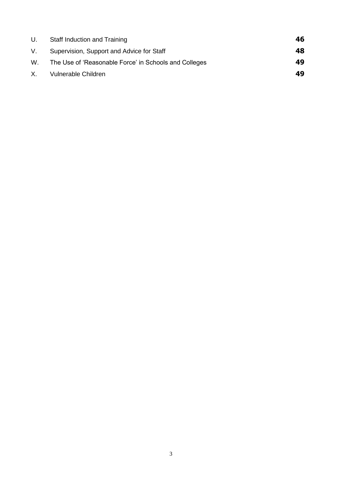| U. | Staff Induction and Training                          | 46 |
|----|-------------------------------------------------------|----|
| V. | Supervision, Support and Advice for Staff             | 48 |
| W. | The Use of 'Reasonable Force' in Schools and Colleges | 49 |
| X. | Vulnerable Children                                   | 49 |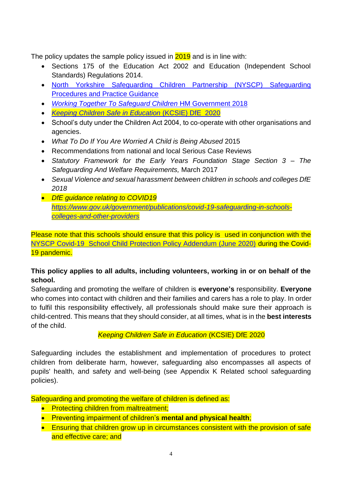<span id="page-3-0"></span>The policy updates the sample policy issued in 2019 and is in line with:

- Sections 175 of the Education Act 2002 and Education (Independent School Standards) Regulations 2014.
- [North Yorkshire Safeguarding Children Partnership \(NYSCP\) Safeguarding](https://www.safeguardingchildren.co.uk/professionals/)  [Procedures and Practice Guidance](https://www.safeguardingchildren.co.uk/professionals/)
- *[Working Together To Safeguard Children](https://www.gov.uk/government/publications/working-together-to-safeguard-children--2)* HM Government 2018
- *[Keeping Children Safe in Education](https://www.gov.uk/government/publications/keeping-children-safe-in-education--2)* (KCSIE) DfE 2020
- School's duty under the Children Act 2004, to co-operate with other organisations and agencies.
- *What To Do If You Are Worried A Child is Being Abused* 2015
- Recommendations from national and local Serious Case Reviews
- *Statutory Framework for the Early Years Foundation Stage Section 3 – The Safeguarding And Welfare Requirements,* March 2017
- *Sexual Violence and sexual harassment between children in schools and colleges DfE 2018*
- *DfE guidance relating to COVID19 [https://www.gov.uk/government/publications/covid-19-safeguarding-in-schools](https://www.gov.uk/government/publications/covid-19-safeguarding-in-schools-colleges-and-other-providers)[colleges-and-other-providers](https://www.gov.uk/government/publications/covid-19-safeguarding-in-schools-colleges-and-other-providers)*

Please note that this schools should ensure that this policy is used in conjunction with the [NYSCP Covid-19 School Child Protection Policy Addendum \(June 2020\)](https://cyps.northyorks.gov.uk/covid-19-working-towards-wider-re-opening-schools) during the Covid-19 pandemic.

#### **This policy applies to all adults, including volunteers, working in or on behalf of the school.**

Safeguarding and promoting the welfare of children is **everyone's** responsibility. **Everyone** who comes into contact with children and their families and carers has a role to play. In order to fulfil this responsibility effectively, all professionals should make sure their approach is child-centred. This means that they should consider, at all times, what is in the **best interests** of the child.

 *Keeping Children Safe in Education* (KCSIE) DfE 2020

Safeguarding includes the establishment and implementation of procedures to protect children from deliberate harm, however, safeguarding also encompasses all aspects of pupils' health, and safety and well-being (see Appendix K Related school safeguarding policies).

Safeguarding and promoting the welfare of children is defined as:

- Protecting children from maltreatment;
- Preventing impairment of children's **mental and physical health**;
- Ensuring that children grow up in circumstances consistent with the provision of safe and effective care; and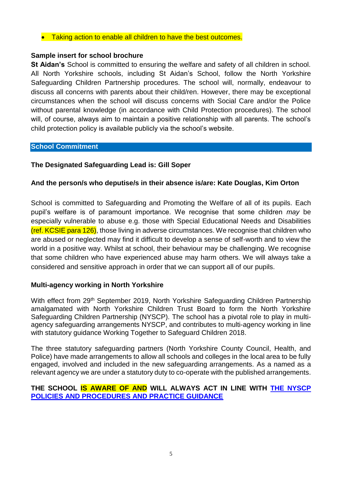#### • Taking action to enable all children to have the best outcomes.

#### **Sample insert for school brochure**

**St Aidan's** School is committed to ensuring the welfare and safety of all children in school. All North Yorkshire schools, including St Aidan's School, follow the North Yorkshire Safeguarding Children Partnership procedures. The school will, normally, endeavour to discuss all concerns with parents about their child/ren. However, there may be exceptional circumstances when the school will discuss concerns with Social Care and/or the Police without parental knowledge (in accordance with Child Protection procedures). The school will, of course, always aim to maintain a positive relationship with all parents. The school's child protection policy is available publicly via the school's website.

#### <span id="page-4-0"></span>**School Commitment**

#### **The Designated Safeguarding Lead is: Gill Soper**

#### **And the person/s who deputise/s in their absence is/are: Kate Douglas, Kim Orton**

School is committed to Safeguarding and Promoting the Welfare of all of its pupils*.* Each pupil's welfare is of paramount importance. We recognise that some children *may* be especially vulnerable to abuse e.g. those with Special Educational Needs and Disabilities (ref. KCSIE para 126), those living in adverse circumstances. We recognise that children who are abused or neglected may find it difficult to develop a sense of self-worth and to view the world in a positive way. Whilst at school, their behaviour may be challenging. We recognise that some children who have experienced abuse may harm others. We will always take a considered and sensitive approach in order that we can support all of our pupils.

#### **Multi-agency working in North Yorkshire**

With effect from 29<sup>th</sup> September 2019, North Yorkshire Safeguarding Children Partnership amalgamated with North Yorkshire Children Trust Board to form the North Yorkshire Safeguarding Children Partnership (NYSCP). The school has a pivotal role to play in multiagency safeguarding arrangements NYSCP, and contributes to multi-agency working in line with statutory guidance Working Together to Safeguard Children 2018.

The three statutory safeguarding partners (North Yorkshire County Council, Health, and Police) have made arrangements to allow all schools and colleges in the local area to be fully engaged, involved and included in the new safeguarding arrangements. As a named as a relevant agency we are under a statutory duty to co-operate with the published arrangements.

#### **THE SCHOOL IS AWARE OF AND WILL ALWAYS ACT IN LINE WITH [THE NYSCP](http://www.safeguardingchildren.co.uk/) [POLICIES AND PROCEDURES AND PRACTICE GUIDANCE](http://www.safeguardingchildren.co.uk/)**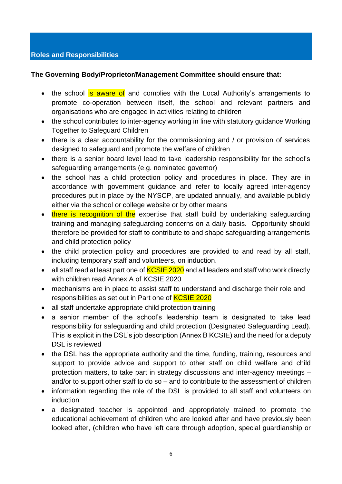#### <span id="page-5-0"></span>**The Governing Body/Proprietor/Management Committee should ensure that:**

- the school is aware of and complies with the Local Authority's arrangements to promote co-operation between itself, the school and relevant partners and organisations who are engaged in activities relating to children
- the school contributes to inter-agency working in line with statutory guidance [Working](https://www.gov.uk/government/publications/working-together-to-safeguard-children--2) [Together to Safeguard](https://www.gov.uk/government/publications/working-together-to-safeguard-children--2) Children
- there is a clear accountability for the commissioning and / or provision of services designed to safeguard and promote the welfare of children
- there is a senior board level lead to take leadership responsibility for the school's safeguarding arrangements (e.g. nominated governor)
- the school has a child protection policy and procedures in place. They are in accordance with government guidance and refer to locally agreed inter-agency procedures put in place by the NYSCP, are updated annually, and available publicly either via the school or college website or by other means
- there is recognition of the expertise that staff build by undertaking safeguarding training and managing safeguarding concerns on a daily basis. Opportunity should therefore be provided for staff to contribute to and shape safeguarding arrangements and child protection policy
- the child protection policy and procedures are provided to and read by all staff, including temporary staff and volunteers, on induction.
- all staff read at least part one of  $KCSIE$  2020 and all leaders and staff who work directly with children read Annex A of KCSIE 2020
- mechanisms are in place to assist staff to understand and discharge their role and responsibilities as set out in Part one of **KCSIE 2020**
- all staff undertake appropriate child protection training
- a senior member of the school's leadership team is designated to take lead responsibility for safeguarding and child protection (Designated Safeguarding Lead). This is explicit in the DSL's job description (Annex B KCSIE) and the need for a deputy DSL is reviewed
- the DSL has the appropriate authority and the time, funding, training, resources and support to provide advice and support to other staff on child welfare and child protection matters, to take part in strategy discussions and inter-agency meetings – and/or to support other staff to do so – and to contribute to the assessment of children
- information regarding the role of the DSL is provided to all staff and volunteers on induction
- a designated teacher is appointed and appropriately trained to promote the educational achievement of children who are looked after and have previously been looked after, (children who have left care through adoption, special guardianship or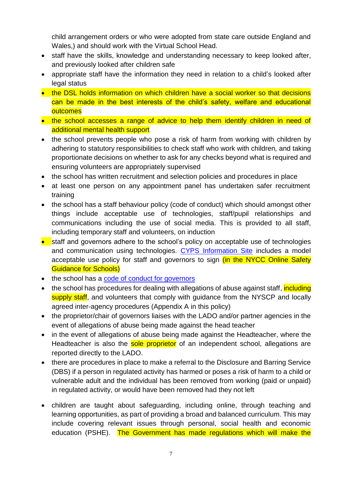child arrangement orders or who were adopted from state care outside England and Wales,) and should work with the Virtual School Head.

- staff have the skills, knowledge and understanding necessary to keep looked after, and previously looked after children safe
- appropriate staff have the information they need in relation to a child's looked after legal status
- the DSL holds information on which children have a social worker so that decisions can be made in the best interests of the child's safety, welfare and educational **outcomes**
- the school accesses a range of advice to help them identify children in need of additional mental health support
- the school prevents people who pose a risk of harm from working with children by adhering to statutory responsibilities to check staff who work with children*,* and taking proportionate decisions on whether to ask for any checks beyond what is required and ensuring volunteers are appropriately supervised
- the school has written recruitment and selection policies and procedures in place
- at least one person on any appointment panel has undertaken safer recruitment training
- the school has a staff behaviour policy (code of conduct) which should amongst other things include acceptable use of technologies, staff/pupil relationships and communications including the use of social media. This is provided to all staff, including temporary staff and volunteers, on induction
- staff and governors adhere to the school's policy on acceptable use of technologies and communication using technologies. CYPS [Information Site](https://cyps.northyorks.gov.uk/health-wellbeing-pshe) includes a model acceptable use policy for staff and governors to sign (in the NYCC Online Safety Guidance for Schools)
- the school has a [code of conduct for](https://www.nga.org.uk/codeofconduct2017) governors
- the school has procedures for dealing with allegations of abuse against staff, including supply staff, and volunteers that comply with guidance from the NYSCP and locally agreed inter-agency procedures (Appendix A in this policy)
- the proprietor/chair of governors liaises with the LADO and/or partner agencies in the event of allegations of abuse being made against the head teacher
- in the event of allegations of abuse being made against the Headteacher, where the Headteacher is also the sole proprietor of an independent school, allegations are reported directly to the LADO.
- there are procedures in place to make a referral to the Disclosure and Barring Service (DBS) if a person in regulated activity has harmed or poses a risk of harm to a child or vulnerable adult and the individual has been removed from working (paid or unpaid) in regulated activity, or would have been removed had they not left
- children are taught about safeguarding, including online, through teaching and learning opportunities, as part of providing a broad and balanced curriculum. This may include covering relevant issues through personal, social health and economic education (PSHE). The Government has made regulations which will make the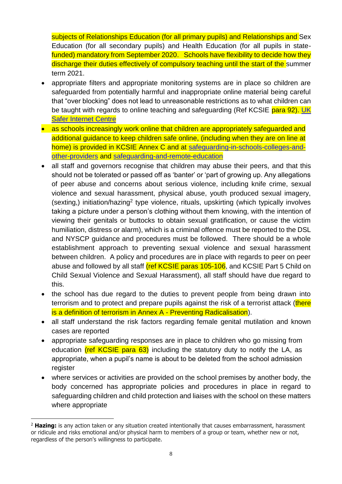subjects of Relationships Education (for all primary pupils) and Relationships and Sex [Education \(for all secondary pupils\) and Health Education \(for all pupils in state](https://www.gov.uk/government/publications/relationships-education-relationships-and-sex-education-rse-and-health-education)[funded\) mandatory from September 2020.](https://www.gov.uk/government/publications/relationships-education-relationships-and-sex-education-rse-and-health-education) Schools have flexibility to decide how they discharge their duties effectively of compulsory teaching until the start of the summer term 2021.

- appropriate filters and appropriate monitoring systems are in place so children are safeguarded from potentially harmful and inappropriate online material being careful that "over blocking" does not lead to unreasonable restrictions as to what children can be taught with regards to online teaching and safeguarding (Ref KCSIE para 92). UK [Safer Internet Centre](https://www.saferinternet.org.uk/advice-centre/teachers-and-school-staff/appropriate-filtering-and-monitoring)
- as schools increasingly work online that children are appropriately safeguarded and additional guidance to keep children safe online, (including when they are on line at home) is provided in KCSIE Annex C and at [safeguarding-in-schools-colleges-and](https://www.gov.uk/government/publications/covid-19-safeguarding-in-schools-colleges-and-other-providers/coronavirus-covid-19-safeguarding-in-schools-colleges-and-other-providers)[other-providers](https://www.gov.uk/government/publications/covid-19-safeguarding-in-schools-colleges-and-other-providers/coronavirus-covid-19-safeguarding-in-schools-colleges-and-other-providers) and [safeguarding-and-remote-education](https://www.gov.uk/guidance/safeguarding-and-remote-education-during-coronavirus-covid-19)
- all staff and governors recognise that children may abuse their peers, and that this should not be tolerated or passed off as 'banter' or 'part of growing up. Any allegations of peer abuse and concerns about serious violence, including knife crime, sexual violence and sexual harassment, physical abuse, youth produced sexual imagery, (sexting,) initiation/hazing<sup>2</sup> type violence, rituals, upskirting (which typically involves taking a picture under a person's clothing without them knowing, with the intention of viewing their genitals or buttocks to obtain sexual gratification, or cause the victim humiliation, distress or alarm), which is a criminal offence must be reported to the DSL and NYSCP guidance and procedures must be followed. There should be a whole establishment approach to preventing sexual violence and sexual harassment between children. A policy and procedures are in place with regards to peer on peer abuse and followed by all staff (ref KCSIE paras 105-106, and KCSIE Part 5 Child on Child Sexual Violence and Sexual Harassment), all staff should have due regard to this.
- the school has due regard to the duties to prevent people from being drawn into terrorism and to protect and prepare pupils against the risk of a terrorist attack (there is a definition of terrorism in Annex A - Preventing Radicalisation).
- all staff understand the risk factors regarding female genital mutilation and known cases are reported
- appropriate safeguarding responses are in place to children who go missing from education (ref KCSIE para 63) including the statutory duty to notify the LA, as appropriate, when a pupil's name is about to be deleted from the school admission register
- where services or activities are provided on the school premises by another body, the body concerned has appropriate policies and procedures in place in regard to safeguarding children and child protection and liaises with the school on these matters where appropriate

<sup>1</sup> <sup>2</sup> **Hazing:** is any action taken or any situation created intentionally that causes embarrassment, harassment or ridicule and risks emotional and/or physical harm to members of a group or team, whether new or not, regardless of the person's willingness to participate.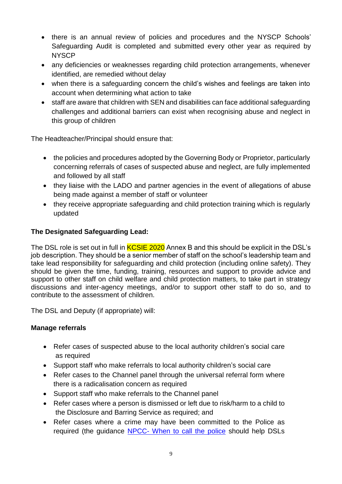- there is an annual review of policies and procedures and the NYSCP Schools' Safeguarding Audit is completed and submitted every other year as required by **NYSCP**
- any deficiencies or weaknesses regarding child protection arrangements, whenever identified, are remedied without delay
- when there is a safeguarding concern the child's wishes and feelings are taken into account when determining what action to take
- staff are aware that children with SEN and disabilities can face additional safeguarding challenges and additional barriers can exist when recognising abuse and neglect in this group of children

The Headteacher/Principal should ensure that:

- the policies and procedures adopted by the Governing Body or Proprietor, particularly concerning referrals of cases of suspected abuse and neglect, are fully implemented and followed by all staff
- they liaise with the LADO and partner agencies in the event of allegations of abuse being made against a member of staff or volunteer
- they receive appropriate safeguarding and child protection training which is regularly updated

#### **The Designated Safeguarding Lead:**

The DSL role is set out in full in **KCSIE 2020** Annex B and this should be explicit in the DSL's job description. They should be a senior member of staff on the school's leadership team and take lead responsibility for safeguarding and child protection (including online safety). They should be given the time, funding, training, resources and support to provide advice and support to other staff on child welfare and child protection matters, to take part in strategy discussions and inter-agency meetings, and/or to support other staff to do so, and to contribute to the assessment of children.

The DSL and Deputy (if appropriate) will:

#### **Manage referrals**

- Refer cases of suspected abuse to the local authority children's social care as required
- Support staff who make referrals to local authority children's social care
- Refer cases to the Channel panel through the universal referral form where there is a radicalisation concern as required
- Support staff who make referrals to the Channel panel
- Refer cases where a person is dismissed or left due to risk/harm to a child to the Disclosure and Barring Service as required; and
- Refer cases where a crime may have been committed to the Police as required (the guidance NPCC- [When to call the police](https://www.npcc.police.uk/documents/Children%20and%20Young%20people/When%20to%20call%20the%20police%20guidance%20for%20schools%20and%20colleges.pdf) should help DSLs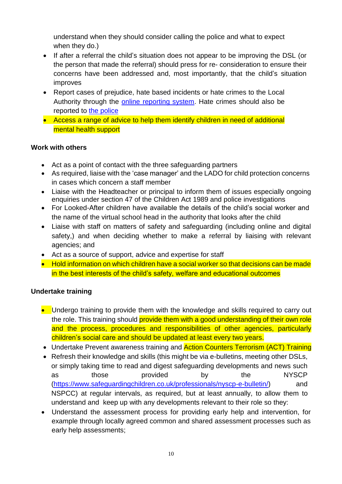understand when they should consider calling the police and what to expect when they do.)

- If after a referral the child's situation does not appear to be improving the DSL (or the person that made the referral) should press for re- consideration to ensure their concerns have been addressed and, most importantly, that the child's situation improves
- Report cases of prejudice, hate based incidents or hate crimes to the Local Authority through the [online reporting system.](https://consult.northyorks.gov.uk/snapwebhost/s.asp?k=146952740744) Hate crimes should also be reported to [the police](http://www.report-it.org.uk/your_police_force)
- Access a range of advice to help them identify children in need of additional mental health support

#### **Work with others**

- Act as a point of contact with the three safeguarding partners
- As required, liaise with the 'case manager' and the LADO for child protection concerns in cases which concern a staff member
- Liaise with the Headteacher or principal to inform them of issues especially ongoing enquiries under section 47 of the Children Act 1989 and police investigations
- For Looked-After children have available the details of the child's social worker and the name of the virtual school head in the authority that looks after the child
- Liaise with staff on matters of safety and safeguarding (including online and digital safety,) and when deciding whether to make a referral by liaising with relevant agencies; and
- Act as a source of support, advice and expertise for staff
- Hold information on which children have a social worker so that decisions can be made in the best interests of the child's safety, welfare and educational outcomes

#### **Undertake training**

- Undergo training to provide them with the knowledge and skills required to carry out the role. This training should provide them with a good understanding of their own role and the process, procedures and responsibilities of other agencies, particularly children's social care and should be updated at least every two years.
- Undertake Prevent awareness training and **Action Counters Terrorism (ACT) Training**
- Refresh their knowledge and skills (this might be via e-bulletins, meeting other DSLs, or simply taking time to read and digest safeguarding developments and news such as those provided by the NYSCP [\(https://www.safeguardingchildren.co.uk/professionals/nyscp-e-bulletin/\)](https://www.safeguardingchildren.co.uk/professionals/nyscp-e-bulletin/) and NSPCC) at regular intervals, as required, but at least annually, to allow them to understand and keep up with any developments relevant to their role so they:
- Understand the assessment process for providing early help and intervention, for example through locally agreed common and shared assessment processes such as early help assessments;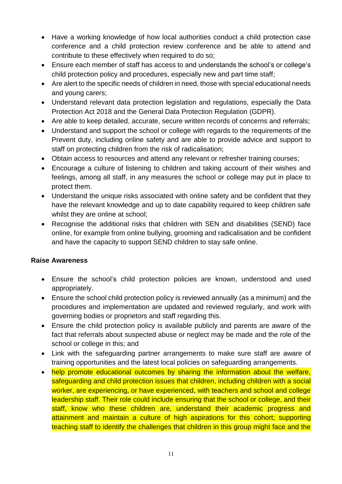- Have a working knowledge of how local authorities conduct a child protection case conference and a child protection review conference and be able to attend and contribute to these effectively when required to do so;
- Ensure each member of staff has access to and understands the school's or college's child protection policy and procedures, especially new and part time staff;
- Are alert to the specific needs of children in need, those with special educational needs and young carers;
- Understand relevant data protection legislation and regulations, especially the Data Protection Act 2018 and the General Data Protection Regulation (GDPR).
- Are able to keep detailed, accurate, secure written records of concerns and referrals;
- Understand and support the school or college with regards to the requirements of the Prevent duty, including online safety and are able to provide advice and support to staff on protecting children from the risk of radicalisation;
- Obtain access to resources and attend any relevant or refresher training courses;
- Encourage a culture of listening to children and taking account of their wishes and feelings, among all staff, in any measures the school or college may put in place to protect them.
- Understand the unique risks associated with online safety and be confident that they have the relevant knowledge and up to date capability required to keep children safe whilst they are online at school;
- Recognise the additional risks that children with SEN and disabilities (SEND) face online, for example from online bullying, grooming and radicalisation and be confident and have the capacity to support SEND children to stay safe online.

#### **Raise Awareness**

- Ensure the school's child protection policies are known, understood and used appropriately.
- Ensure the school child protection policy is reviewed annually (as a minimum) and the procedures and implementation are updated and reviewed regularly, and work with governing bodies or proprietors and staff regarding this.
- Ensure the child protection policy is available publicly and parents are aware of the fact that referrals about suspected abuse or neglect may be made and the role of the school or college in this; and
- Link with the safeguarding partner arrangements to make sure staff are aware of training opportunities and the latest local policies on safeguarding arrangements.
- help promote educational outcomes by sharing the information about the welfare, safeguarding and child protection issues that children, including children with a social worker, are experiencing, or have experienced, with teachers and school and college leadership staff. Their role could include ensuring that the school or college, and their staff, know who these children are, understand their academic progress and attainment and maintain a culture of high aspirations for this cohort; supporting teaching staff to identify the challenges that children in this group might face and the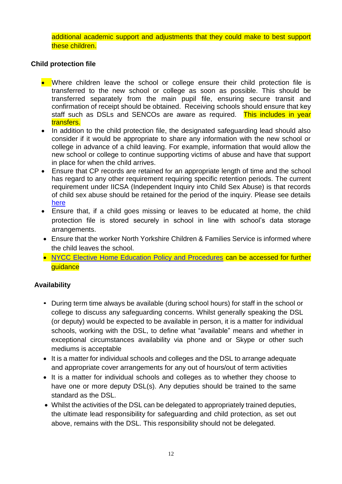additional academic support and adjustments that they could make to best support these children.

#### **Child protection file**

- Where children leave the school or college ensure their child protection file is transferred to the new school or college as soon as possible. This should be transferred separately from the main pupil file, ensuring secure transit and confirmation of receipt should be obtained. Receiving schools should ensure that key staff such as DSLs and SENCOs are aware as required. This includes in year transfers.
- In addition to the child protection file, the designated safeguarding lead should also consider if it would be appropriate to share any information with the new school or college in advance of a child leaving. For example, information that would allow the new school or college to continue supporting victims of abuse and have that support in place for when the child arrives.
- Ensure that CP records are retained for an appropriate length of time and the school has regard to any other requirement requiring specific retention periods. The current requirement under IICSA (Independent Inquiry into Child Sex Abuse) is that records of child sex abuse should be retained for the period of the inquiry. Please see details [here](https://www.iicsa.org.uk/letter-to-local-authority-ceos)
- Ensure that, if a child goes missing or leaves to be educated at home, the child protection file is stored securely in school in line with school's data storage arrangements.
- Ensure that the worker North Yorkshire Children & Families Service is informed where the child leaves the school.
- [NYCC Elective Home Education Policy and Procedures](https://cyps.northyorks.gov.uk/elective-home-education) can be accessed for further guidance

#### **Availability**

- During term time always be available (during school hours) for staff in the school or college to discuss any safeguarding concerns. Whilst generally speaking the DSL (or deputy) would be expected to be available in person, it is a matter for individual schools, working with the DSL, to define what "available" means and whether in exceptional circumstances availability via phone and or Skype or other such mediums is acceptable
- It is a matter for individual schools and colleges and the DSL to arrange adequate and appropriate cover arrangements for any out of hours/out of term activities
- It is a matter for individual schools and colleges as to whether they choose to have one or more deputy DSL(s). Any deputies should be trained to the same standard as the DSL.
- Whilst the activities of the DSL can be delegated to appropriately trained deputies, the ultimate lead responsibility for safeguarding and child protection, as set out above, remains with the DSL. This responsibility should not be delegated.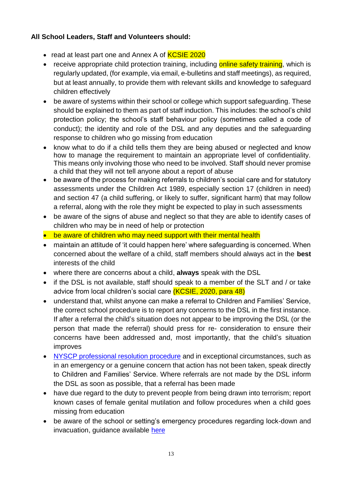#### **All School Leaders, Staff and Volunteers should:**

- read at least part one and Annex A of **KCSIE 2020**
- receive appropriate child protection training, including online safety training, which is regularly updated, (for example, via email, e-bulletins and staff meetings), as required, but at least annually, to provide them with relevant skills and knowledge to safeguard children effectively
- be aware of systems within their school or college which support safeguarding. These should be explained to them as part of staff induction. This includes: the school's child protection policy; the school's staff behaviour policy (sometimes called a code of conduct); the identity and role of the DSL and any deputies and the safeguarding response to children who go missing from education
- know what to do if a child tells them they are being abused or neglected and know how to manage the requirement to maintain an appropriate level of confidentiality. This means only involving those who need to be involved. Staff should never promise a child that they will not tell anyone about a report of abuse
- be aware of the process for making referrals to children's social care and for statutory assessments under the Children Act 1989, especially section 17 (children in need) and section 47 (a child suffering, or likely to suffer, significant harm) that may follow a referral, along with the role they might be expected to play in such assessments
- be aware of the signs of abuse and neglect so that they are able to identify cases of children who may be in need of help or protection
- be aware of children who may need support with their mental health
- maintain an attitude of 'it could happen here' where safeguarding is concerned. When concerned about the welfare of a child, staff members should always act in the **best** interests of the child
- where there are concerns about a child, **always** speak with the DSL
- if the DSL is not available, staff should speak to a member of the SLT and / or take advice from local children's social care (KCSIE, 2020, para 48)
- understand that, whilst anyone can make a referral to Children and Families' Service, the correct school procedure is to report any concerns to the DSL in the first instance. If after a referral the child's situation does not appear to be improving the DSL (or the person that made the referral) should press for re- consideration to ensure their concerns have been addressed and, most importantly, that the child's situation improves
- NYSCP [professional resolution procedure](https://www.safeguardingchildren.co.uk/professionals/practice-guidance/) and in exceptional circumstances, such as in an emergency or a genuine concern that action has not been taken, speak directly to Children and Families' Service. Where referrals are not made by the DSL inform the DSL as soon as possible, that a referral has been made
- have due regard to the duty to prevent people from being drawn into terrorism; report known cases of female genital mutilation and follow procedures when a child goes missing from education
- be aware of the school or setting's emergency procedures regarding lock-down and invacuation, guidance available [here](https://cyps.northyorks.gov.uk/school-emergency-response)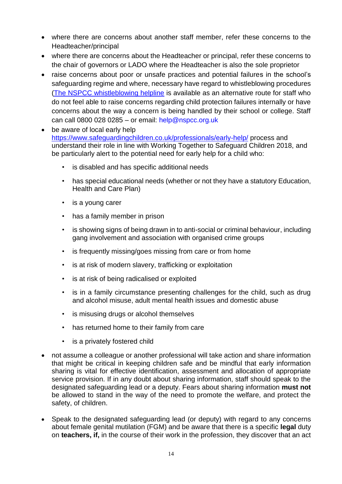- where there are concerns about another staff member, refer these concerns to the Headteacher/principal
- where there are concerns about the Headteacher or principal, refer these concerns to the chair of governors or LADO where the Headteacher is also the sole proprietor
- raise concerns about poor or unsafe practices and potential failures in the school's safeguarding regime and where, necessary have regard to whistleblowing procedures [\(The NSPCC whistleblowing helpline](https://www.nspcc.org.uk/what-you-can-do/report-abuse/dedicated-helplines/whistleblowing-advice-line/) is available as an alternative route for staff who do not feel able to raise concerns regarding child protection failures internally or have concerns about the way a concern is being handled by their school or college. Staff can call 0800 028 0285 – or email: [help@nspcc.org.uk](mailto:help@nspcc.org.uk)
- be aware of local early help <https://www.safeguardingchildren.co.uk/professionals/early-help/> process and understand their role in line with Working Together to Safeguard Children 2018, and be particularly alert to the potential need for early help for a child who:
	- is disabled and has specific additional needs
	- has special educational needs (whether or not they have a statutory Education, Health and Care Plan)
	- is a young carer
	- has a family member in prison
	- is showing signs of being drawn in to anti-social or criminal behaviour, including gang involvement and association with organised crime groups
	- is frequently missing/goes missing from care or from home
	- is at risk of modern slavery, trafficking or exploitation
	- is at risk of being radicalised or exploited
	- is in a family circumstance presenting challenges for the child, such as drug and alcohol misuse, adult mental health issues and domestic abuse
	- is misusing drugs or alcohol themselves
	- has returned home to their family from care
	- is a privately fostered child
- not assume a colleague or another professional will take action and share information that might be critical in keeping children safe and be mindful that early information sharing is vital for effective identification, assessment and allocation of appropriate service provision. If in any doubt about sharing information, staff should speak to the designated safeguarding lead or a deputy. Fears about sharing information **must not**  be allowed to stand in the way of the need to promote the welfare, and protect the safety, of children.
- Speak to the designated safeguarding lead (or deputy) with regard to any concerns about female genital mutilation (FGM) and be aware that there is a specific **legal** duty on **teachers, if,** in the course of their work in the profession, they discover that an act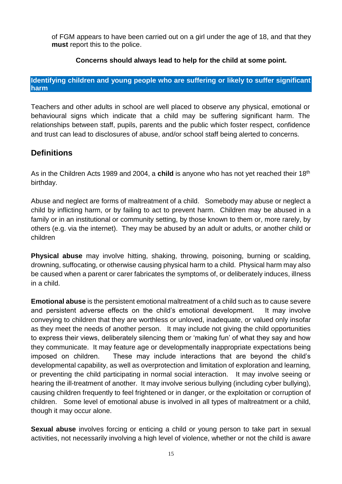of FGM appears to have been carried out on a girl under the age of 18, and that they **must** report this to the police.

#### **Concerns should always lead to help for the child at some point.**

#### <span id="page-14-0"></span>**Identifying children and young people who are suffering or likely to suffer significant harm**

Teachers and other adults in school are well placed to observe any physical, emotional or behavioural signs which indicate that a child may be suffering significant harm. The relationships between staff, pupils, parents and the public which foster respect, confidence and trust can lead to disclosures of abuse, and/or school staff being alerted to concerns.

### **Definitions**

As in the Children Acts 1989 and 2004, a **child** is anyone who has not yet reached their 18<sup>th</sup> birthday.

Abuse and neglect are forms of maltreatment of a child. Somebody may abuse or neglect a child by inflicting harm, or by failing to act to prevent harm. Children may be abused in a family or in an institutional or community setting, by those known to them or, more rarely, by others (e.g. via the internet). They may be abused by an adult or adults, or another child or children

**Physical abuse** may involve hitting, shaking, throwing, poisoning, burning or scalding, drowning, suffocating, or otherwise causing physical harm to a child. Physical harm may also be caused when a parent or carer fabricates the symptoms of, or deliberately induces, illness in a child.

**Emotional abuse** is the persistent emotional maltreatment of a child such as to cause severe and persistent adverse effects on the child's emotional development. It may involve conveying to children that they are worthless or unloved, inadequate, or valued only insofar as they meet the needs of another person. It may include not giving the child opportunities to express their views, deliberately silencing them or 'making fun' of what they say and how they communicate. It may feature age or developmentally inappropriate expectations being imposed on children. These may include interactions that are beyond the child's developmental capability, as well as overprotection and limitation of exploration and learning, or preventing the child participating in normal social interaction. It may involve seeing or hearing the ill-treatment of another. It may involve serious bullying (including cyber bullying), causing children frequently to feel frightened or in danger, or the exploitation or corruption of children. Some level of emotional abuse is involved in all types of maltreatment or a child, though it may occur alone.

**Sexual abuse** involves forcing or enticing a child or young person to take part in sexual activities, not necessarily involving a high level of violence, whether or not the child is aware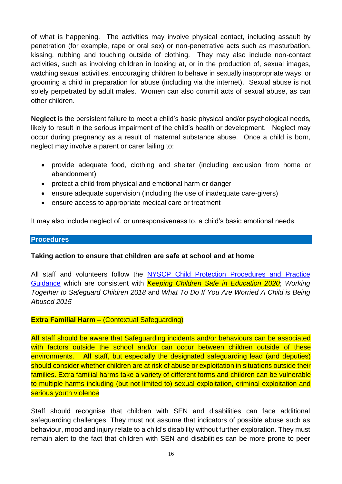of what is happening. The activities may involve physical contact, including assault by penetration (for example, rape or oral sex) or non-penetrative acts such as masturbation, kissing, rubbing and touching outside of clothing. They may also include non-contact activities, such as involving children in looking at, or in the production of, sexual images, watching sexual activities, encouraging children to behave in sexually inappropriate ways, or grooming a child in preparation for abuse (including via the internet). Sexual abuse is not solely perpetrated by adult males. Women can also commit acts of sexual abuse, as can other children.

**Neglect** is the persistent failure to meet a child's basic physical and/or psychological needs, likely to result in the serious impairment of the child's health or development. Neglect may occur during pregnancy as a result of maternal substance abuse. Once a child is born, neglect may involve a parent or carer failing to:

- provide adequate food, clothing and shelter (including exclusion from home or abandonment)
- protect a child from physical and emotional harm or danger
- ensure adequate supervision (including the use of inadequate care-givers)
- ensure access to appropriate medical care or treatment

It may also include neglect of, or unresponsiveness to, a child's basic emotional needs.

#### <span id="page-15-0"></span>**Procedures**

#### **Taking action to ensure that children are safe at school and at home**

All staff and volunteers follow the NYSCP [Child Protection Procedures and Practice](http://www.safeguardingchildren.co.uk/)  [Guidance](http://www.safeguardingchildren.co.uk/) which are consistent with *Keeping Children Safe in Education 2020*; *Working Together to Safeguard Children 2018* and *What To Do If You Are Worried A Child is Being Abused 2015*

#### **Extra Familial Harm –** (Contextual Safeguarding)

**All** staff should be aware that Safeguarding incidents and/or behaviours can be associated with factors outside the school and/or can occur between children outside of these environments. **All** staff, but especially the designated safeguarding lead (and deputies) should consider whether children are at risk of abuse or exploitation in situations outside their families. Extra familial harms take a variety of different forms and children can be vulnerable to multiple harms including (but not limited to) sexual exploitation, criminal exploitation and serious youth violence

Staff should recognise that children with SEN and disabilities can face additional safeguarding challenges. They must not assume that indicators of possible abuse such as behaviour, mood and injury relate to a child's disability without further exploration. They must remain alert to the fact that children with SEN and disabilities can be more prone to peer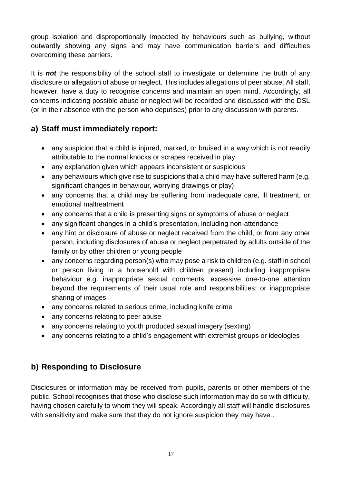group isolation and disproportionally impacted by behaviours such as bullying, without outwardly showing any signs and may have communication barriers and difficulties overcoming these barriers.

It is *not* the responsibility of the school staff to investigate or determine the truth of any disclosure or allegation of abuse or neglect. This includes allegations of peer abuse. All staff, however, have a duty to recognise concerns and maintain an open mind. Accordingly, all concerns indicating possible abuse or neglect will be recorded and discussed with the DSL (or in their absence with the person who deputises) prior to any discussion with parents.

# **a) Staff must immediately report:**

- any suspicion that a child is injured, marked, or bruised in a way which is not readily attributable to the normal knocks or scrapes received in play
- any explanation given which appears inconsistent or suspicious
- any behaviours which give rise to suspicions that a child may have suffered harm (e.g. significant changes in behaviour, worrying drawings or play)
- any concerns that a child may be suffering from inadequate care, ill treatment, or emotional maltreatment
- any concerns that a child is presenting signs or symptoms of abuse or neglect
- any significant changes in a child's presentation, including non-attendance
- any hint or disclosure of abuse or neglect received from the child, or from any other person, including disclosures of abuse or neglect perpetrated by adults outside of the family or by other children or young people
- any concerns regarding person(s) who may pose a risk to children (e.g. staff in school or person living in a household with children present) including inappropriate behaviour e.g. inappropriate sexual comments; excessive one-to-one attention beyond the requirements of their usual role and responsibilities; or inappropriate sharing of images
- any concerns related to serious crime, including knife crime
- any concerns relating to peer abuse
- any concerns relating to youth produced sexual imagery (sexting)
- any concerns relating to a child's engagement with extremist groups or ideologies

# **b) Responding to Disclosure**

Disclosures or information may be received from pupils, parents or other members of the public. School recognises that those who disclose such information may do so with difficulty, having chosen carefully to whom they will speak. Accordingly all staff will handle disclosures with sensitivity and make sure that they do not ignore suspicion they may have..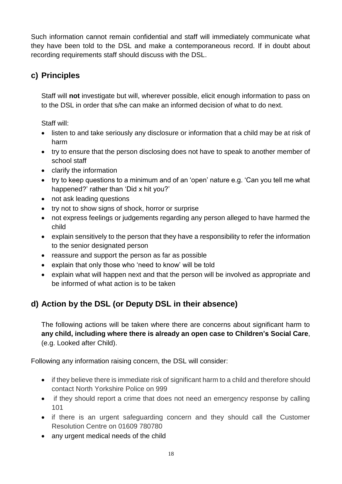Such information cannot remain confidential and staff will immediately communicate what they have been told to the DSL and make a contemporaneous record. If in doubt about recording requirements staff should discuss with the DSL.

# **c) Principles**

Staff will **not** investigate but will, wherever possible, elicit enough information to pass on to the DSL in order that s/he can make an informed decision of what to do next.

Staff will:

- listen to and take seriously any disclosure or information that a child may be at risk of harm
- try to ensure that the person disclosing does not have to speak to another member of school staff
- clarify the information
- try to keep questions to a minimum and of an 'open' nature e.g. 'Can you tell me what happened?' rather than 'Did x hit you?'
- not ask leading questions
- try not to show signs of shock, horror or surprise
- not express feelings or judgements regarding any person alleged to have harmed the child
- explain sensitively to the person that they have a responsibility to refer the information to the senior designated person
- reassure and support the person as far as possible
- explain that only those who 'need to know' will be told
- explain what will happen next and that the person will be involved as appropriate and be informed of what action is to be taken

# **d) Action by the DSL (or Deputy DSL in their absence)**

The following actions will be taken where there are concerns about significant harm to **any child, including where there is already an open case to Children's Social Care**, (e.g. Looked after Child).

Following any information raising concern, the DSL will consider:

- if they believe there is immediate risk of significant harm to a child and therefore should contact North Yorkshire Police on 999
- if they should report a crime that does not need an emergency response by calling 101
- if there is an urgent safeguarding concern and they should call the Customer Resolution Centre on 01609 780780
- any urgent medical needs of the child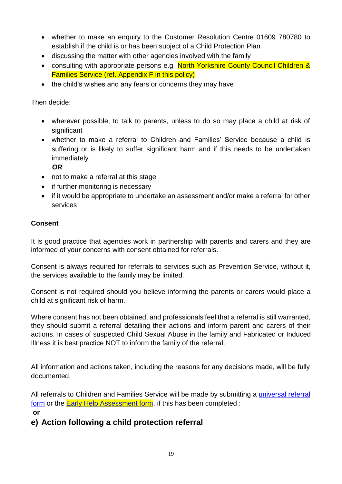- whether to make an enquiry to the Customer Resolution Centre 01609 780780 to establish if the child is or has been subject of a Child Protection Plan
- discussing the matter with other agencies involved with the family
- consulting with appropriate persons e.g. North Yorkshire County Council Children & Families Service (ref. Appendix F in this policy)
- the child's wishes and any fears or concerns they may have

Then decide:

- wherever possible, to talk to parents, unless to do so may place a child at risk of significant
- whether to make a referral to Children and Families' Service because a child is suffering or is likely to suffer significant harm and if this needs to be undertaken immediately

 *OR*

- not to make a referral at this stage
- if further monitoring is necessary
- if it would be appropriate to undertake an assessment and/or make a referral for other services

#### **Consent**

It is good practice that agencies work in partnership with parents and carers and they are informed of your concerns with consent obtained for referrals.

Consent is always required for referrals to services such as Prevention Service, without it, the services available to the family may be limited.

Consent is not required should you believe informing the parents or carers would place a child at significant risk of harm.

Where consent has not been obtained, and professionals feel that a referral is still warranted, they should submit a referral detailing their actions and inform parent and carers of their actions. In cases of suspected Child Sexual Abuse in the family and Fabricated or Induced Illness it is best practice NOT to inform the family of the referral.

All information and actions taken, including the reasons for any decisions made, will be fully documented.

All referrals to Children and Families Service will be made by submitting a [universal](https://www.safeguardingchildren.co.uk/about-us/worried-about-a-child/) referral [form](https://www.safeguardingchildren.co.uk/about-us/worried-about-a-child/) or the **Early Help Assessment form**, if this has been completed : **or**

# **e) Action following a child protection referral**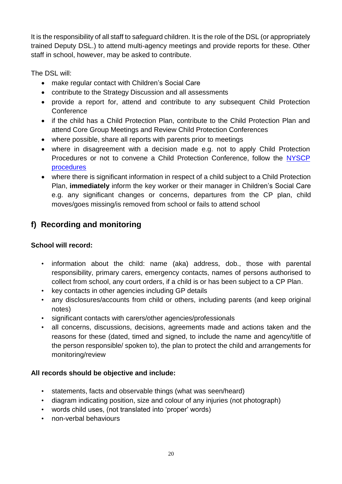It is the responsibility of all staff to safeguard children. It is the role of the DSL (or appropriately trained Deputy DSL.) to attend multi-agency meetings and provide reports for these. Other staff in school, however, may be asked to contribute.

The DSL will:

- make regular contact with Children's Social Care
- contribute to the Strategy Discussion and all assessments
- provide a report for, attend and contribute to any subsequent Child Protection **Conference**
- if the child has a Child Protection Plan, contribute to the Child Protection Plan and attend Core Group Meetings and Review Child Protection Conferences
- where possible, share all reports with parents prior to meetings
- where in disagreement with a decision made e.g. not to apply Child Protection Procedures or not to convene a Child Protection Conference, follow the [NYSCP](https://www.safeguardingchildren.co.uk/professionals/nyscb-procedures/) [procedures](https://www.safeguardingchildren.co.uk/professionals/nyscb-procedures/)
- where there is significant information in respect of a child subject to a Child Protection Plan, **immediately** inform the key worker or their manager in Children's Social Care e.g. any significant changes or concerns, departures from the CP plan, child moves/goes missing/is removed from school or fails to attend school

# **f) Recording and monitoring**

#### **School will record:**

- information about the child: name (aka) address, dob., those with parental responsibility, primary carers, emergency contacts, names of persons authorised to collect from school, any court orders, if a child is or has been subject to a CP Plan.
- key contacts in other agencies including GP details
- any disclosures/accounts from child or others, including parents (and keep original notes)
- significant contacts with carers/other agencies/professionals
- all concerns, discussions, decisions, agreements made and actions taken and the reasons for these (dated, timed and signed, to include the name and agency/title of the person responsible/ spoken to), the plan to protect the child and arrangements for monitoring/review

#### **All records should be objective and include:**

- statements, facts and observable things (what was seen/heard)
- diagram indicating position, size and colour of any injuries (not photograph)
- words child uses, (not translated into 'proper' words)
- non-verbal behaviours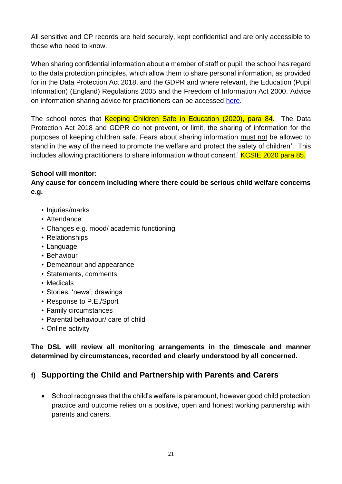All sensitive and CP records are held securely, kept confidential and are only accessible to those who need to know.

When sharing confidential information about a member of staff or pupil, the school has regard to the data protection principles, which allow them to share personal information, as provided for in the Data Protection Act 2018, and the GDPR and where relevant, the Education (Pupil Information) (England) Regulations 2005 and the Freedom of Information Act 2000. Advice on information sharing advice for practitioners can be accessed [here.](https://www.gov.uk/government/publications/safeguarding-practitioners-information-sharing-advice)

The school notes that Keeping Children Safe in Education (2020), para 84. The Data Protection Act 2018 and GDPR do not prevent, or limit, the sharing of information for the purposes of keeping children safe. Fears about sharing information must not be allowed to stand in the way of the need to promote the welfare and protect the safety of children'. This includes allowing practitioners to share information without consent.' **KCSIE 2020 para 85.** 

#### **School will monitor:**

**Any cause for concern including where there could be serious child welfare concerns e.g.** 

- Injuries/marks
- Attendance
- Changes e.g. mood/ academic functioning
- Relationships
- Language
- Behaviour
- Demeanour and appearance
- Statements, comments
- Medicals
- Stories, 'news', drawings
- Response to P.E./Sport
- Family circumstances
- Parental behaviour/ care of child
- Online activity

**The DSL will review all monitoring arrangements in the timescale and manner determined by circumstances, recorded and clearly understood by all concerned.**

# **f) Supporting the Child and Partnership with Parents and Carers**

• School recognises that the child's welfare is paramount, however good child protection practice and outcome relies on a positive, open and honest working partnership with parents and carers.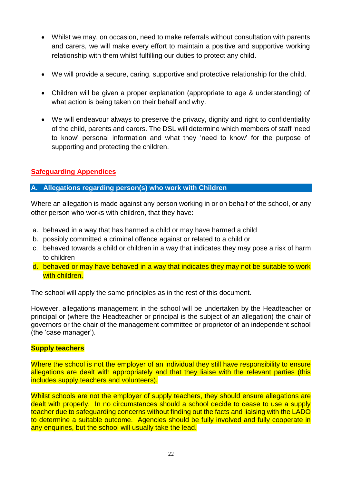- Whilst we may, on occasion, need to make referrals without consultation with parents and carers, we will make every effort to maintain a positive and supportive working relationship with them whilst fulfilling our duties to protect any child.
- We will provide a secure, caring, supportive and protective relationship for the child.
- Children will be given a proper explanation (appropriate to age & understanding) of what action is being taken on their behalf and why.
- We will endeavour always to preserve the privacy, dignity and right to confidentiality of the child, parents and carers. The DSL will determine which members of staff 'need to know' personal information and what they 'need to know' for the purpose of supporting and protecting the children.

#### <span id="page-21-0"></span>**Safeguarding Appendices**

#### <span id="page-21-1"></span>**A. Allegations regarding person(s) who work with Children**

Where an allegation is made against any person working in or on behalf of the school, or any other person who works with children, that they have:

- a. behaved in a way that has harmed a child or may have harmed a child
- b. possibly committed a criminal offence against or related to a child or
- c. behaved towards a child or children in a way that indicates they may pose a risk of harm to children
- d. behaved or may have behaved in a way that indicates they may not be suitable to work with children.

The school will apply the same principles as in the rest of this document.

However, allegations management in the school will be undertaken by the Headteacher or principal or (where the Headteacher or principal is the subject of an allegation) the chair of governors or the chair of the management committee or proprietor of an independent school (the 'case manager').

#### **Supply teachers**

Where the school is not the employer of an individual they still have responsibility to ensure allegations are dealt with appropriately and that they liaise with the relevant parties (this includes supply teachers and volunteers).

Whilst schools are not the employer of supply teachers, they should ensure allegations are dealt with properly. In no circumstances should a school decide to cease to use a supply teacher due to safeguarding concerns without finding out the facts and liaising with the LADO to determine a suitable outcome. Agencies should be fully involved and fully cooperate in any enquiries, but the school will usually take the lead.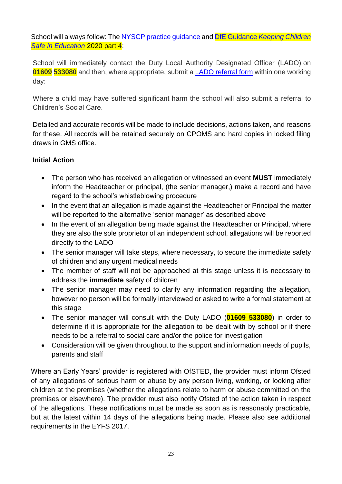School will always follow: The NYSCP [practice guidance](https://www.safeguardingchildren.co.uk/professionals/practice-guidance/) and DfE Guidance *[Keeping Children](https://www.gov.uk/government/publications/keeping-children-safe-in-education--2)  [Safe in Education](https://www.gov.uk/government/publications/keeping-children-safe-in-education--2)* 2020 part 4:

School will immediately contact the Duty Local Authority Designated Officer (LADO) on **01609 533080** and then, where appropriate, submit a [LADO referral form](https://www.safeguardingchildren.co.uk/professionals/forms-for-professionals/) within one working day:

Where a child may have suffered significant harm the school will also submit a referral to Children's Social Care.

Detailed and accurate records will be made to include decisions, actions taken, and reasons for these. All records will be retained securely on CPOMS and hard copies in locked filing draws in GMS office.

#### **Initial Action**

- The person who has received an allegation or witnessed an event **MUST** immediately inform the Headteacher or principal, (the senior manager,) make a record and have regard to the school's whistleblowing procedure
- In the event that an allegation is made against the Headteacher or Principal the matter will be reported to the alternative 'senior manager' as described above
- In the event of an allegation being made against the Headteacher or Principal, where they are also the sole proprietor of an independent school, allegations will be reported directly to the LADO
- The senior manager will take steps, where necessary, to secure the immediate safety of children and any urgent medical needs
- The member of staff will not be approached at this stage unless it is necessary to address the **immediate** safety of children
- The senior manager may need to clarify any information regarding the allegation, however no person will be formally interviewed or asked to write a formal statement at this stage
- The senior manager will consult with the Duty LADO (**01609 533080**) in order to determine if it is appropriate for the allegation to be dealt with by school or if there needs to be a referral to social care and/or the police for investigation
- Consideration will be given throughout to the support and information needs of pupils, parents and staff

Where an Early Years' provider is registered with OfSTED, the provider must inform Ofsted of any allegations of serious harm or abuse by any person living, working, or looking after children at the premises (whether the allegations relate to harm or abuse committed on the premises or elsewhere). The provider must also notify Ofsted of the action taken in respect of the allegations. These notifications must be made as soon as is reasonably practicable, but at the latest within 14 days of the allegations being made. Please also see additional requirements in the EYFS 2017.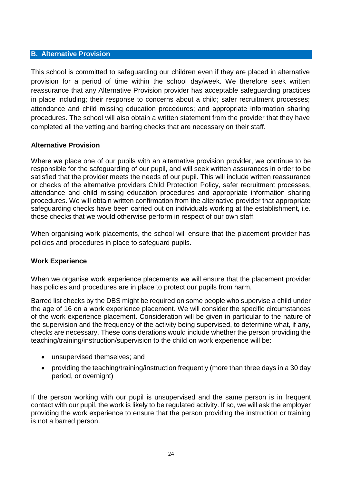#### <span id="page-23-0"></span>**B. Alternative Provision**

This school is committed to safeguarding our children even if they are placed in alternative provision for a period of time within the school day/week. We therefore seek written reassurance that any Alternative Provision provider has acceptable safeguarding practices in place including; their response to concerns about a child; safer recruitment processes; attendance and child missing education procedures; and appropriate information sharing procedures. The school will also obtain a written statement from the provider that they have completed all the vetting and barring checks that are necessary on their staff.

#### **Alternative Provision**

Where we place one of our pupils with an alternative provision provider, we continue to be responsible for the safeguarding of our pupil, and will seek written assurances in order to be satisfied that the provider meets the needs of our pupil. This will include written reassurance or checks of the alternative providers Child Protection Policy, safer recruitment processes, attendance and child missing education procedures and appropriate information sharing procedures. We will obtain written confirmation from the alternative provider that appropriate safeguarding checks have been carried out on individuals working at the establishment, i.e. those checks that we would otherwise perform in respect of our own staff.

When organising work placements, the school will ensure that the placement provider has policies and procedures in place to safeguard pupils.

#### **Work Experience**

When we organise work experience placements we will ensure that the placement provider has policies and procedures are in place to protect our pupils from harm.

Barred list checks by the DBS might be required on some people who supervise a child under the age of 16 on a work experience placement. We will consider the specific circumstances of the work experience placement. Consideration will be given in particular to the nature of the supervision and the frequency of the activity being supervised, to determine what, if any, checks are necessary. These considerations would include whether the person providing the teaching/training/instruction/supervision to the child on work experience will be:

- unsupervised themselves; and
- providing the teaching/training/instruction frequently (more than three days in a 30 day period, or overnight)

If the person working with our pupil is unsupervised and the same person is in frequent contact with our pupil, the work is likely to be regulated activity. If so, we will ask the employer providing the work experience to ensure that the person providing the instruction or training is not a barred person.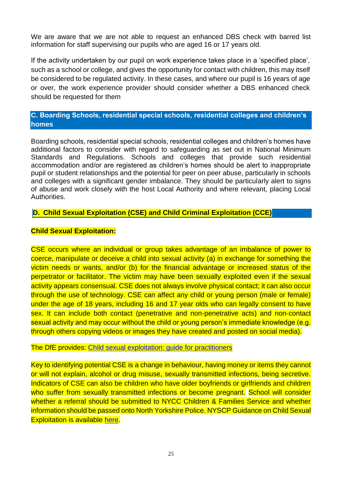We are aware that we are not able to request an enhanced DBS check with barred list information for staff supervising our pupils who are aged 16 or 17 years old.

If the activity undertaken by our pupil on work experience takes place in a 'specified place', such as a school or college, and gives the opportunity for contact with children, this may itself be considered to be regulated activity. In these cases, and where our pupil is 16 years of age or over, the work experience provider should consider whether a DBS enhanced check should be requested for them

#### <span id="page-24-0"></span>**C. Boarding Schools, residential special schools, residential colleges and children's homes**

Boarding schools, residential special schools, residential colleges and children's homes have additional factors to consider with regard to safeguarding as set out in National Minimum Standards and Regulations. Schools and colleges that provide such residential accommodation and/or are registered as children's homes should be alert to inappropriate pupil or student relationships and the potential for peer on peer abuse, particularly in schools and colleges with a significant gender imbalance. They should be particularly alert to signs of abuse and work closely with the host Local Authority and where relevant, placing Local Authorities.

#### <span id="page-24-1"></span>**D. Child Sexual Exploitation (CSE) and Child Criminal Exploitation (CCE)**

#### **Child Sexual Exploitation:**

CSE occurs where an individual or group takes advantage of an imbalance of power to coerce, manipulate or deceive a child into sexual activity (a) in exchange for something the victim needs or wants, and/or (b) for the financial advantage or increased status of the perpetrator or facilitator. The victim may have been sexually exploited even if the sexual activity appears consensual. CSE does not always involve physical contact; it can also occur through the use of technology. CSE can affect any child or young person (male or female) under the age of 18 years, including 16 and 17 year olds who can legally consent to have sex. It can include both contact (penetrative and non-penetrative acts) and non-contact sexual activity and may occur without the child or young person's immediate knowledge (e.g. through others copying videos or images they have created and posted on social media).

#### The DfE provides: [Child sexual exploitation: guide for practitioners](https://www.gov.uk/government/publications/child-sexual-exploitation-definition-and-guide-for-practitioners)

Key to identifying potential CSE is a change in behaviour, having money or items they cannot or will not explain, alcohol or drug misuse, sexually transmitted infections, being secretive. Indicators of CSE can also be children who have older boyfriends or girlfriends and children who suffer from sexually transmitted infections or become pregnant. School will consider whether a referral should be submitted to NYCC Children & Families Service and whether information should be passed onto North Yorkshire Police. NYSCP Guidance on Child Sexual Exploitation is available [here.](https://www.safeguardingchildren.co.uk/professionals/practice-guidance/)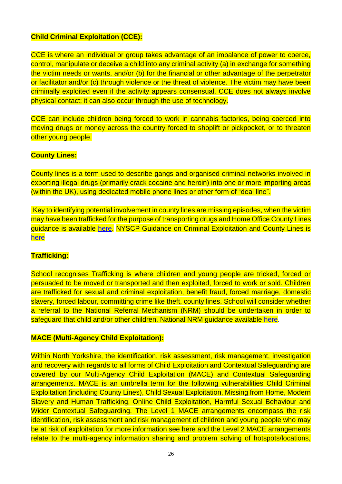#### **Child Criminal Exploitation (CCE):**

CCE is where an individual or group takes advantage of an imbalance of power to coerce, control, manipulate or deceive a child into any criminal activity (a) in exchange for something the victim needs or wants, and/or (b) for the financial or other advantage of the perpetrator or facilitator and/or (c) through violence or the threat of violence. The victim may have been criminally exploited even if the activity appears consensual. CCE does not always involve physical contact; it can also occur through the use of technology.

CCE can include children being forced to work in cannabis factories, being coerced into moving drugs or money across the country forced to shoplift or pickpocket, or to threaten other young people.

#### **County Lines:**

County lines is a term used to describe gangs and organised criminal networks involved in exporting illegal drugs (primarily crack cocaine and heroin) into one or more importing areas (within the UK), using dedicated mobile phone lines or other form of "deal line".

Key to identifying potential involvement in county lines are missing episodes, when the victim may have been trafficked for the purpose of transporting drugs and Home Office County Lines guidance is available [here.](https://www.gov.uk/government/publications/criminal-exploitation-of-children-and-vulnerable-adults-county-lines) NYSCP Guidance on Criminal Exploitation and County Lines is [here](https://www.safeguardingchildren.co.uk/professionals/practice-guidance/)

#### **Trafficking:**

School recognises Trafficking is where children and young people are tricked, forced or persuaded to be moved or transported and then exploited, forced to work or sold. Children are trafficked for sexual and criminal exploitation, benefit fraud, forced marriage, domestic slavery, forced labour, committing crime like theft, county lines. School will consider whether a referral to the National Referral Mechanism (NRM) should be undertaken in order to safeguard that child and/or other children. National NRM guidance available [here.](https://www.gov.uk/government/publications/human-trafficking-victims-referral-and-assessment-forms/guidance-on-the-national-referral-mechanism-for-potential-adult-victims-of-modern-slavery-england-and-wales)

#### **MACE (Multi-Agency Child Exploitation):**

Within North Yorkshire, the identification, risk assessment, risk management, investigation and recovery with regards to all forms of Child Exploitation and Contextual Safeguarding are covered by our Multi-Agency Child Exploitation (MACE) and Contextual Safeguarding arrangements. MACE is an umbrella term for the following vulnerabilities Child Criminal Exploitation (including County Lines), Child Sexual Exploitation, Missing from Home, Modern Slavery and Human Trafficking, Online Child Exploitation, Harmful Sexual Behaviour and Wider Contextual Safeguarding. The Level 1 MACE arrangements encompass the risk identification, risk assessment and risk management of children and young people who may be at risk of exploitation for more information see here and the Level 2 MACE arrangements relate to the multi-agency information sharing and problem solving of hotspots/locations,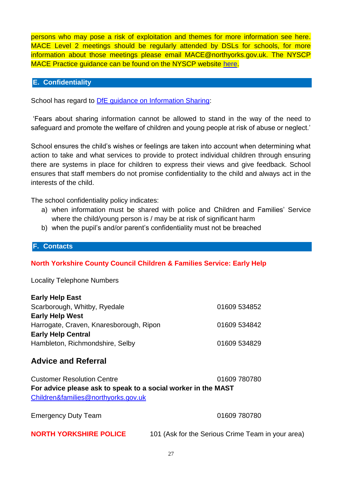persons who may pose a risk of exploitation and themes for more information see here. MACE Level 2 meetings should be regularly attended by DSLs for schools, for more information about those meetings please email MACE@northyorks.gov.uk. The NYSCP MACE Practice guidance can be found on the NYSCP website [here.](https://www.safeguardingchildren.co.uk/professionals/practice-guidance/)

#### <span id="page-26-0"></span>**E. Confidentiality**

School has regard to **DfE** guidance on Information Sharing:

'Fears about sharing information cannot be allowed to stand in the way of the need to safeguard and promote the welfare of children and young people at risk of abuse or neglect.'

School ensures the child's wishes or feelings are taken into account when determining what action to take and what services to provide to protect individual children through ensuring there are systems in place for children to express their views and give feedback. School ensures that staff members do not promise confidentiality to the child and always act in the interests of the child.

The school confidentiality policy indicates:

- a) when information must be shared with police and Children and Families' Service where the child/young person is / may be at risk of significant harm
- b) when the pupil's and/or parent's confidentiality must not be breached

#### <span id="page-26-1"></span>**F. Contacts**

#### **North Yorkshire County Council Children & Families Service: Early Help**

Locality Telephone Numbers

| <b>Early Help East</b>                  |              |
|-----------------------------------------|--------------|
| Scarborough, Whitby, Ryedale            | 01609 534852 |
| <b>Early Help West</b>                  |              |
| Harrogate, Craven, Knaresborough, Ripon | 01609 534842 |
| <b>Early Help Central</b>               |              |
| Hambleton, Richmondshire, Selby         | 01609 534829 |
|                                         |              |

#### **Advice and Referral**

| <b>Customer Resolution Centre</b>                             | 01609 780780 |  |  |
|---------------------------------------------------------------|--------------|--|--|
| For advice please ask to speak to a social worker in the MAST |              |  |  |
| Children&families@northyorks.gov.uk                           |              |  |  |

Emergency Duty Team 01609 780780

**NORTH YORKSHIRE POLICE** 101 (Ask for the Serious Crime Team in your area)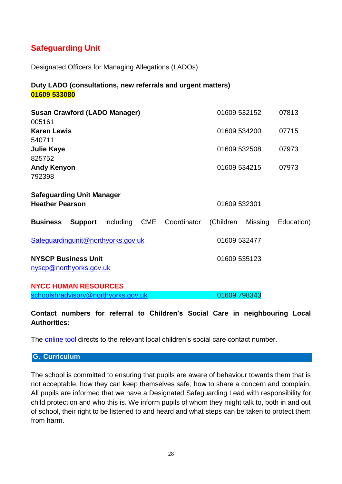# **Safeguarding Unit**

Designated Officers for Managing Allegations (LADOs)

#### **Duty LADO (consultations, new referrals and urgent matters) 01609 533080**

| <b>Susan Crawford (LADO Manager)</b><br>005161                             | 01609 532152         | 07813      |
|----------------------------------------------------------------------------|----------------------|------------|
| <b>Karen Lewis</b><br>540711                                               | 01609 534200         | 07715      |
| <b>Julie Kaye</b><br>825752                                                | 01609 532508         | 07973      |
| <b>Andy Kenyon</b><br>792398                                               | 01609 534215         | 07973      |
| <b>Safeguarding Unit Manager</b><br><b>Heather Pearson</b><br>01609 532301 |                      |            |
| <b>Support</b><br>including CME<br>Coordinator<br><b>Business</b>          | (Children<br>Missing | Education) |
| Safeguardingunit@northyorks.gov.uk                                         | 01609 532477         |            |
| <b>NYSCP Business Unit</b><br>nyscp@northyorks.gov.uk                      | 01609 535123         |            |
| <b>NYCC HUMAN RESOURCES</b><br>schoolshradvisory@northyorks.gov.uk         | 01609 798343         |            |

**Contact numbers for referral to Children's Social Care in neighbouring Local Authorities:**

The [online tool](https://www.gov.uk/report-child-abuse-to-local-council) directs to the relevant local children's social care contact number.

#### <span id="page-27-0"></span>**G. Curriculum**

The school is committed to ensuring that pupils are aware of behaviour towards them that is not acceptable, how they can keep themselves safe, how to share a concern and complain. All pupils are informed that we have a Designated Safeguarding Lead with responsibility for child protection and who this is. We inform pupils of whom they might talk to, both in and out of school, their right to be listened to and heard and what steps can be taken to protect them from harm.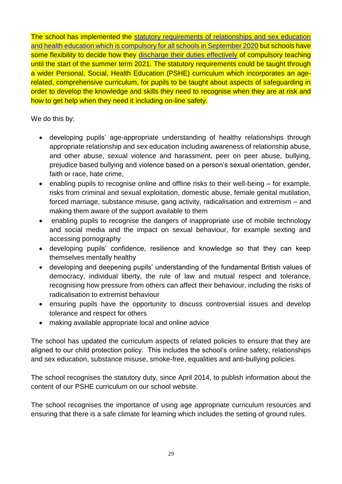The school has implemented the [statutory requirements of relationships and sex education](https://www.gov.uk/government/publications/relationships-education-relationships-and-sex-education-rse-and-health-education)  [and health education which is compulsory for all schools in September 2020](https://www.gov.uk/government/publications/relationships-education-relationships-and-sex-education-rse-and-health-education) but schools have some flexibility to decide how they [discharge their duties effectively](http://healthyschoolsnorthyorks.org/wp-content/uploads/2020/06/Communication-to-schools-on-the-implementation-of-RSHE-for-Sep-2020.pdf) of compulsory teaching until the start of the summer term 2021. The statutory requirements could be taught through a wider Personal, Social, Health Education (PSHE) curriculum which incorporates an agerelated, comprehensive curriculum, for pupils to be taught about aspects of safeguarding in order to develop the knowledge and skills they need to recognise when they are at risk and how to get help when they need it including on-line safety.

We do this by:

- developing pupils' age-appropriate understanding of healthy relationships through appropriate relationship and sex education including awareness of relationship abuse, and other abuse, sexual violence and harassment, peer on peer abuse, bullying, prejudice based bullying and violence based on a person's sexual orientation, gender, faith or race, hate crime,
- enabling pupils to recognise online and offline risks to their well-being for example, risks from criminal and sexual exploitation, domestic abuse, female genital mutilation, forced marriage, substance misuse, gang activity, radicalisation and extremism – and making them aware of the support available to them
- enabling pupils to recognise the dangers of inappropriate use of mobile technology and social media and the impact on sexual behaviour, for example sexting and accessing pornography
- developing pupils' confidence, resilience and knowledge so that they can keep themselves mentally healthy
- developing and deepening pupils' understanding of the fundamental British values of democracy, individual liberty, the rule of law and mutual respect and tolerance, recognising how pressure from others can affect their behaviour, including the risks of radicalisation to extremist behaviour
- ensuring pupils have the opportunity to discuss controversial issues and develop tolerance and respect for others
- making available appropriate local and online advice

The school has updated the curriculum aspects of related policies to ensure that they are aligned to our child protection policy. This includes the school's online safety, relationships and sex education, substance misuse, smoke-free, equalities and anti-bullying policies.

The school recognises the statutory duty, since April 2014, to publish information about the content of our PSHE curriculum on our school website.

The school recognises the importance of using age appropriate curriculum resources and ensuring that there is a safe climate for learning which includes the setting of ground rules.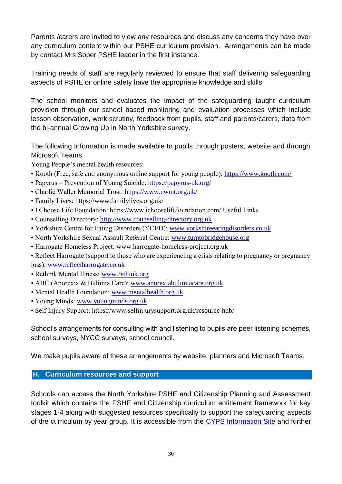Parents /carers are invited to view any resources and discuss any concerns they have over any curriculum content within our PSHE curriculum provision. Arrangements can be made by contact Mrs Soper PSHE leader in the first instance.

Training needs of staff are regularly reviewed to ensure that staff delivering safeguarding aspects of PSHE or online safety have the appropriate knowledge and skills.

The school monitors and evaluates the impact of the safeguarding taught curriculum provision through our school based monitoring and evaluation processes which include lesson observation, work scrutiny, feedback from pupils, staff and parents/carers, data from the bi-annual Growing Up in North Yorkshire survey.

The following Information is made available to pupils through posters, website and through Microsoft Teams.

Young People's mental health resources:

- Kooth (Free, safe and anonymous online support for young people):<https://www.kooth.com/>
- Papyrus Prevention of Young Suicide:<https://papyrus-uk.org/>
- Charlie Waller Memorial Trust:<https://www.cwmt.org.uk/>
- Family Lives: https://www.familylives.org.uk/
- I Choose Life Foundation: https://www.ichooselifefoundation.com/ Useful Links
- Counselling Directory: [http://www.counselling-directory.org.uk](http://www.counselling-directory.org.uk/)
- Yorkshire Centre for Eating Disorders (YCED): [www.yorkshireeatingdisorders.co.uk](http://www.yorkshireeatingdisorders.co.uk/)
- North Yorkshire Sexual Assault Referral Centre: [www.turntobridgehouse.org](http://www.turntobridgehouse.org/)
- Harrogate Homeless Project: www.harrogate-homeless-project.org.uk

• Reflect Harrogate (support to those who are experiencing a crisis relating to pregnancy or pregnancy loss): [www.reflectharrogate.co.uk](http://www.reflectharrogate.co.uk/)

- Rethink Mental Illness: [www.rethink.org](http://www.rethink.org/)
- ABC (Anorexia & Bulimia Care): [www.anorexiabulimiacare.org.uk](http://www.anorexiabulimiacare.org.uk/)
- Mental Health Foundation: [www.mentalhealth.org.uk](http://www.mentalhealth.org.uk/)
- Young Minds: [www.youngminds.org.uk](http://www.youngminds.org.uk/)
- Self Injury Support: https://www.selfinjurysupport.org.uk/resource-hub/

School's arrangements for consulting with and listening to pupils are peer listening schemes, school surveys, NYCC surveys, school council.

We make pupils aware of these arrangements by website, planners and Microsoft Teams.

#### <span id="page-29-0"></span>**H. Curriculum resources and support**

Schools can access the North Yorkshire PSHE and Citizenship Planning and Assessment toolkit which contains the PSHE and Citizenship curriculum entitlement framework for key stages 1-4 along with suggested resources specifically to support the safeguarding aspects of the curriculum by year group. It is accessible from the [CYPS Information Site](http://cyps.northyorks.gov.uk/health-wellbeing-pshe) and further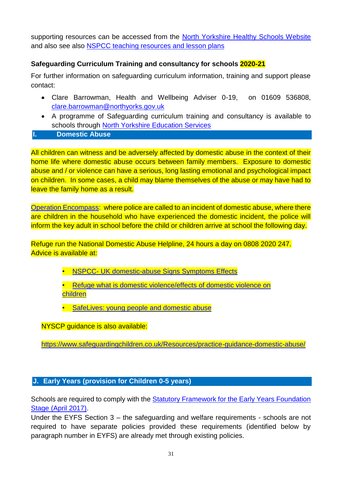supporting resources can be accessed from the [North Yorkshire Healthy Schools Website](http://healthyschoolsnorthyorks.org/resources/) and also see also [NSPCC teaching resources and lesson plans](https://learning.nspcc.org.uk/safeguarding-child-protection-schools/teaching-resources-lesson-plans/)

#### **Safeguarding Curriculum Training and consultancy for schools 2020-21**

For further information on safeguarding curriculum information, training and support please contact:

- Clare Barrowman, Health and Wellbeing Adviser 0-19, on 01609 536808, [clare.barrowman@northyorks.gov.uk](mailto:clare.barrowman@northyorks.gov.uk)
- <span id="page-30-0"></span>• A programme of Safeguarding curriculum training and consultancy is available to schools through [North Yorkshire Education Services](http://nyeducationservices.co.uk/)
- **I. Domestic Abuse**

All children can witness and be adversely affected by domestic abuse in the context of their home life where domestic abuse occurs between family members. Exposure to domestic abuse and / or violence can have a serious, long lasting emotional and psychological impact on children. In some cases, a child may blame themselves of the abuse or may have had to leave the family home as a result.

[Operation Encompass:](https://www.operationencompass.org/) where police are called to an incident of domestic abuse, where there are children in the household who have experienced the domestic incident, the police will inform the key adult in school before the child or children arrive at school the following day.

Refuge run the National Domestic Abuse Helpline, 24 hours a day on 0808 2020 247. Advice is available at:

• NSPCC- [UK domestic-abuse Signs Symptoms Effects](https://www.nspcc.org.uk/preventing-abuse/child-abuse-and-neglect/domestic-abuse/signs-symptoms-effects/)

• [Refuge what is domestic violence/effects of domestic violence on](http://www.refuge.org.uk/get-help-now/what-is-domestic-violence/effects-of-domestic-violence-on-children/)  [children](http://www.refuge.org.uk/get-help-now/what-is-domestic-violence/effects-of-domestic-violence-on-children/)

• [SafeLives: young people and domestic abuse](http://www.safelives.org.uk/knowledge-hub/spotlights/spotlight-3-young-people-and-domestic-abuse)

NYSCP guidance is also available:

<https://www.safeguardingchildren.co.uk/Resources/practice-guidance-domestic-abuse/>

#### <span id="page-30-1"></span>**J. Early Years (provision for Children 0-5 years)**

Schools are required to comply with the [Statutory Framework for the Early Years Foundation](https://www.foundationyears.org.uk/files/2017/03/EYFS_STATUTORY_FRAMEWORK_2017.pdf)  Stage [\(April 2017\).](https://www.foundationyears.org.uk/files/2017/03/EYFS_STATUTORY_FRAMEWORK_2017.pdf)

Under the EYFS Section 3 – the safeguarding and welfare requirements - schools are not required to have separate policies provided these requirements (identified below by paragraph number in EYFS) are already met through existing policies.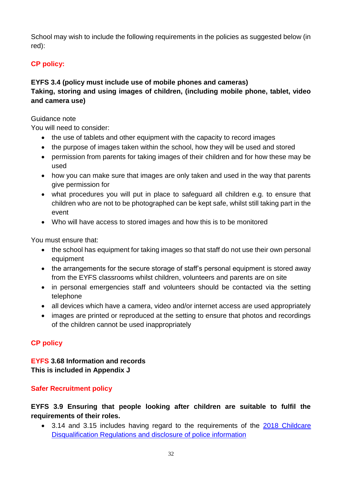School may wish to include the following requirements in the policies as suggested below (in red):

# **CP policy:**

#### **EYFS 3.4 (policy must include use of mobile phones and cameras) Taking, storing and using images of children, (including mobile phone, tablet, video and camera use)**

#### Guidance note

You will need to consider:

- the use of tablets and other equipment with the capacity to record images
- the purpose of images taken within the school, how they will be used and stored
- permission from parents for taking images of their children and for how these may be used
- how you can make sure that images are only taken and used in the way that parents give permission for
- what procedures you will put in place to safeguard all children e.g. to ensure that children who are not to be photographed can be kept safe, whilst still taking part in the event
- Who will have access to stored images and how this is to be monitored

You must ensure that:

- the school has equipment for taking images so that staff do not use their own personal equipment
- the arrangements for the secure storage of staff's personal equipment is stored away from the EYFS classrooms whilst children, volunteers and parents are on site
- in personal emergencies staff and volunteers should be contacted via the setting telephone
- all devices which have a camera, video and/or internet access are used appropriately
- images are printed or reproduced at the setting to ensure that photos and recordings of the children cannot be used inappropriately

#### **CP policy**

#### **EYFS 3.68 Information and records This is included in Appendix J**

#### **Safer Recruitment policy**

**EYFS 3.9 Ensuring that people looking after children are suitable to fulfil the requirements of their roles.** 

• 3.14 and 3.15 includes having regard to the requirements of the 2018 [Childcare](http://www.legislation.gov.uk/uksi/2018/794/contents/made)  [Disqualification Regulations and disclosure of police information](http://www.legislation.gov.uk/uksi/2018/794/contents/made)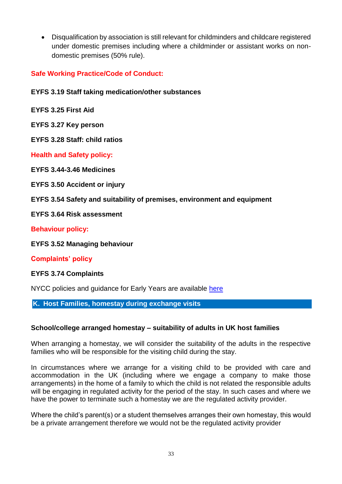• Disqualification by association is still relevant for childminders and childcare registered under domestic premises including where a childminder or assistant works on nondomestic premises (50% rule).

**Safe Working Practice/Code of Conduct:**

#### **EYFS 3.19 Staff taking medication/other substances**

**EYFS 3.25 First Aid**

**EYFS 3.27 Key person**

**EYFS 3.28 Staff: child ratios**

**Health and Safety policy:**

**EYFS 3.44-3.46 Medicines**

**EYFS 3.50 Accident or injury**

**EYFS 3.54 Safety and suitability of premises, environment and equipment** 

**EYFS 3.64 Risk assessment**

#### **Behaviour policy:**

**EYFS 3.52 Managing behaviour**

#### **Complaints' policy**

#### **EYFS 3.74 Complaints**

NYCC policies and quidance for Early Years are available [here](http://cyps.northyorks.gov.uk/safeguarding-children-early-years-provision)

<span id="page-32-0"></span>**K. Host Families, homestay during exchange visits**

#### **School/college arranged homestay – suitability of adults in UK host families**

When arranging a homestay, we will consider the suitability of the adults in the respective families who will be responsible for the visiting child during the stay.

In circumstances where we arrange for a visiting child to be provided with care and accommodation in the UK (including where we engage a company to make those arrangements) in the home of a family to which the child is not related the responsible adults will be engaging in regulated activity for the period of the stay. In such cases and where we have the power to terminate such a homestay we are the regulated activity provider.

Where the child's parent(s) or a student themselves arranges their own homestay, this would be a private arrangement therefore we would not be the regulated activity provider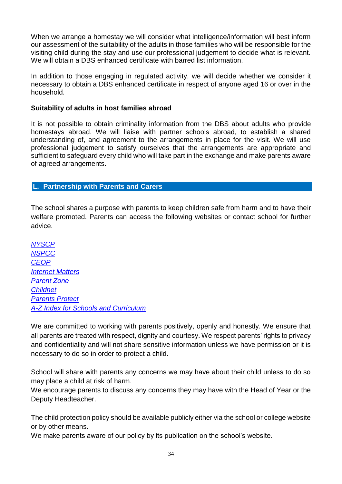When we arrange a homestay we will consider what intelligence/information will best inform our assessment of the suitability of the adults in those families who will be responsible for the visiting child during the stay and use our professional judgement to decide what is relevant. We will obtain a DBS enhanced certificate with barred list information.

In addition to those engaging in regulated activity, we will decide whether we consider it necessary to obtain a DBS enhanced certificate in respect of anyone aged 16 or over in the household.

#### **Suitability of adults in host families abroad**

It is not possible to obtain criminality information from the DBS about adults who provide homestays abroad. We will liaise with partner schools abroad, to establish a shared understanding of, and agreement to the arrangements in place for the visit. We will use professional judgement to satisfy ourselves that the arrangements are appropriate and sufficient to safeguard every child who will take part in the exchange and make parents aware of agreed arrangements.

#### <span id="page-33-0"></span>**L. Partnership with Parents and Carers**

The school shares a purpose with parents to keep children safe from harm and to have their welfare promoted. Parents can access the following websites or contact school for further advice.

*[NYSCP](http://www.safeguardingchildren.co.uk/) [NSPCC](http://www.nspcc.org.uk/) [CEOP](https://www.thinkuknow.co.uk/parents/) [Internet](http://www.internetmatters.org/) Matters [Parent Zone](https://parentzone.org.uk/)  [Childnet](https://www.childnet.com/) [Parents](http://www.parentsprotect.co.uk/) Protect [A-Z Index for Schools and Curriculum](http://www.direct.gov.uk/en/Parents/Schoolslearninganddevelopment/YourChildsWelfareAtSchool/index.htm)*

We are committed to working with parents positively, openly and honestly. We ensure that all parents are treated with respect, dignity and courtesy. We respect parents' rights to privacy and confidentiality and will not share sensitive information unless we have permission or it is necessary to do so in order to protect a child.

School will share with parents any concerns we may have about their child unless to do so may place a child at risk of harm.

We encourage parents to discuss any concerns they may have with the Head of Year or the Deputy Headteacher.

The child protection policy should be available publicly either via the school or college website or by other means.

We make parents aware of our policy by its publication on the school's website.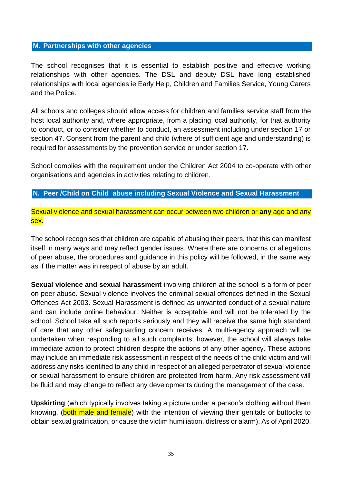#### <span id="page-34-0"></span>**M. Partnerships with other agencies**

The school recognises that it is essential to establish positive and effective working relationships with other agencies. The DSL and deputy DSL have long established relationships with local agencies ie Early Help, Children and Families Service, Young Carers and the Police.

All schools and colleges should allow access for children and families service staff from the host local authority and, where appropriate, from a placing local authority, for that authority to conduct, or to consider whether to conduct, an assessment including under section 17 or section 47. Consent from the parent and child (where of sufficient age and understanding) is required for assessments by the prevention service or under section 17.

School complies with the requirement under the Children Act 2004 to co-operate with other organisations and agencies in activities relating to children.

#### <span id="page-34-1"></span>**N. Peer /Child on Child abuse including Sexual Violence and Sexual Harassment**

Sexual violence and sexual harassment can occur between two children or **any** age and any sex.

The school recognises that children are capable of abusing their peers, that this can manifest itself in many ways and may reflect gender issues. Where there are concerns or allegations of peer abuse, the procedures and guidance in this policy will be followed, in the same way as if the matter was in respect of abuse by an adult.

**Sexual violence and sexual harassment** involving children at the school is a form of peer on peer abuse. Sexual violence involves the criminal sexual offences defined in the Sexual Offences Act 2003. Sexual Harassment is defined as unwanted conduct of a sexual nature and can include online behaviour. Neither is acceptable and will not be tolerated by the school. School take all such reports seriously and they will receive the same high standard of care that any other safeguarding concern receives. A multi-agency approach will be undertaken when responding to all such complaints; however, the school will always take immediate action to protect children despite the actions of any other agency. These actions may include an immediate risk assessment in respect of the needs of the child victim and will address any risks identified to any child in respect of an alleged perpetrator of sexual violence or sexual harassment to ensure children are protected from harm. Any risk assessment will be fluid and may change to reflect any developments during the management of the case.

**Upskirting** (which typically involves taking a picture under a person's clothing without them knowing, (both male and female) with the intention of viewing their genitals or buttocks to obtain sexual gratification, or cause the victim humiliation, distress or alarm). As of April 2020,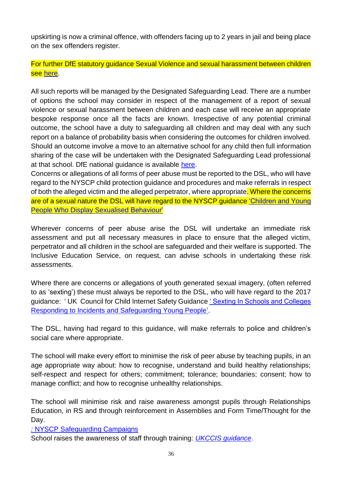upskirting is now a criminal offence, with offenders facing up to 2 years in jail and being place on the sex offenders register.

For further DfE statutory guidance Sexual Violence and sexual harassment between children see [here.](https://www.gov.uk/government/news/upskirting-law-comes-into-force)

All such reports will be managed by the Designated Safeguarding Lead. There are a number of options the school may consider in respect of the management of a report of sexual violence or sexual harassment between children and each case will receive an appropriate bespoke response once all the facts are known. Irrespective of any potential criminal outcome, the school have a duty to safeguarding all children and may deal with any such report on a balance of probability basis when considering the outcomes for children involved. Should an outcome involve a move to an alternative school for any child then full information sharing of the case will be undertaken with the Designated Safeguarding Lead professional at that school. DfE national guidance is available [here.](https://www.gov.uk/government/publications/sexual-violence-and-sexual-harassment-between-children-in-schools-and-colleges)

Concerns or allegations of all forms of peer abuse must be reported to the DSL, who will have regard to the NYSCP child protection guidance and procedures and make referrals in respect of both the alleged victim and the alleged perpetrator, where appropriate. Where the concerns are of a sexual nature the DSL will have regard to the NYSCP guidance ['Children and Young](https://www.safeguardingchildren.co.uk/professionals/practice-guidance/)  [People Who Display Sexualised](https://www.safeguardingchildren.co.uk/professionals/practice-guidance/) Behaviour'

Wherever concerns of peer abuse arise the DSL will undertake an immediate risk assessment and put all necessary measures in place to ensure that the alleged victim, perpetrator and all children in the school are safeguarded and their welfare is supported. The Inclusive Education Service, on request, can advise schools in undertaking these risk assessments.

Where there are concerns or allegations of youth generated sexual imagery, (often referred to as 'sexting') these must always be reported to the DSL, who will have regard to the 2017 guidance: ' UK Council for Child Internet Safety Guidanc[e ' Sexting In Schools and Colleges](https://www.gov.uk/government/uploads/system/uploads/attachment_data/file/609874/6_2939_SP_NCA_Sexting_In_Schools_FINAL_Update_Jan17.pdf)  [Responding to Incidents and Safeguarding Young People'.](https://www.gov.uk/government/uploads/system/uploads/attachment_data/file/609874/6_2939_SP_NCA_Sexting_In_Schools_FINAL_Update_Jan17.pdf)

The DSL, having had regard to this guidance, will make referrals to police and children's social care where appropriate.

The school will make every effort to minimise the risk of peer abuse by teaching pupils, in an age appropriate way about: how to recognise, understand and build healthy relationships; self-respect and respect for others; commitment; tolerance; boundaries; consent; how to manage conflict; and how to recognise unhealthy relationships.

The school will minimise risk and raise awareness amongst pupils through Relationships Education, in RS and through reinforcement in Assemblies and Form Time/Thought for the Day.

*:* NYSCP [Safeguarding Campaigns](https://www.safeguardingchildren.co.uk/professionals/campaigns/)

School raises the awareness of staff through training: *[UKCCIS guidance](https://www.gov.uk/government/uploads/system/uploads/attachment_data/file/647389/Overview_of_Sexting_Guidance.pdf)*.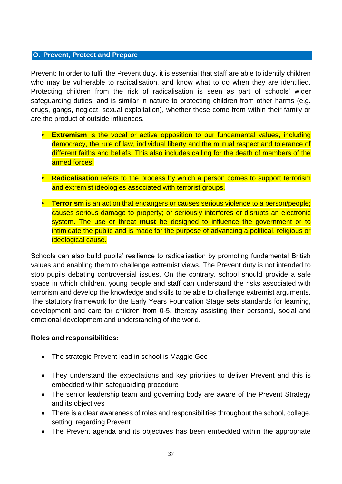#### <span id="page-36-0"></span>**O. Prevent, Protect and Prepare**

Prevent: In order to fulfil the Prevent duty, it is essential that staff are able to identify children who may be vulnerable to radicalisation, and know what to do when they are identified. Protecting children from the risk of radicalisation is seen as part of schools' wider safeguarding duties, and is similar in nature to protecting children from other harms (e.g. drugs, gangs, neglect, sexual exploitation), whether these come from within their family or are the product of outside influences.

- **Extremism** is the vocal or active opposition to our fundamental values, including democracy, the rule of law, individual liberty and the mutual respect and tolerance of different faiths and beliefs. This also includes calling for the death of members of the armed forces.
- **Radicalisation** refers to the process by which a person comes to support terrorism and extremist ideologies associated with terrorist groups.
- **Terrorism** is an action that endangers or causes serious violence to a person/people; causes serious damage to property; or seriously interferes or disrupts an electronic system. The use or threat **must** be designed to influence the government or to intimidate the public and is made for the purpose of advancing a political, religious or ideological cause.

Schools can also build pupils' resilience to radicalisation by promoting fundamental British values and enabling them to challenge extremist views. The Prevent duty is not intended to stop pupils debating controversial issues. On the contrary, school should provide a safe space in which children, young people and staff can understand the risks associated with terrorism and develop the knowledge and skills to be able to challenge extremist arguments. The statutory framework for the Early Years Foundation Stage sets standards for learning, development and care for children from 0-5, thereby assisting their personal, social and emotional development and understanding of the world.

#### **Roles and responsibilities:**

- The strategic Prevent lead in school is Maggie Gee
- They understand the expectations and key priorities to deliver Prevent and this is embedded within safeguarding procedure
- The senior leadership team and governing body are aware of the Prevent Strategy and its objectives
- There is a clear awareness of roles and responsibilities throughout the school, college, setting regarding Prevent
- The Prevent agenda and its objectives has been embedded within the appropriate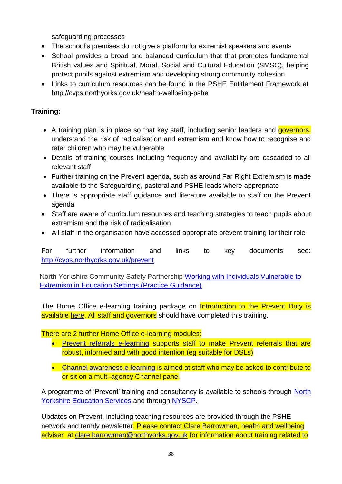safeguarding processes

- The school's premises do not give a platform for extremist speakers and events
- School provides a broad and balanced curriculum that that promotes fundamental British values and Spiritual, Moral, Social and Cultural Education (SMSC), helping protect pupils against extremism and developing strong community cohesion
- Links to curriculum resources can be found in the PSHE Entitlement Framework at http://cyps.northyorks.gov.uk/health-wellbeing-pshe

#### **Training:**

- A training plan is in place so that key staff, including senior leaders and *governors*, understand the risk of radicalisation and extremism and know how to recognise and refer children who may be vulnerable
- Details of training courses including frequency and availability are cascaded to all relevant staff
- Further training on the Prevent agenda, such as around Far Right Extremism is made available to the Safeguarding, pastoral and PSHE leads where appropriate
- There is appropriate staff guidance and literature available to staff on the Prevent agenda
- Staff are aware of curriculum resources and teaching strategies to teach pupils about extremism and the risk of radicalisation
- All staff in the organisation have accessed appropriate prevent training for their role

For further information and links to key documents see: <http://cyps.northyorks.gov.uk/prevent>

North Yorkshire Community Safety Partnership [Working with Individuals Vulnerable to](https://www.safeguardingchildren.co.uk/professionals/practice-guidance/)  [Extremism in Education Settings \(Practice Guidance\)](https://www.safeguardingchildren.co.uk/professionals/practice-guidance/)

The Home Office e-learning training package on **Introduction to the Prevent Duty is** available [here.](https://www.elearning.prevent.homeoffice.gov.uk/edu/screen1.html) All staff and governors should have completed this training.

#### There are 2 further Home Office e-learning modules:

- [Prevent referrals e-learning](https://www.elearning.prevent.homeoffice.gov.uk/prevent_referrals/01-welcome.html) supports staff to make Prevent referrals that are robust, informed and with good intention (eg suitable for DSLs)
- [Channel awareness e-learning](https://www.elearning.prevent.homeoffice.gov.uk/channel_awareness/01-welcome.html) is aimed at staff who may be asked to contribute to or sit on a multi-agency Channel panel

A programme of 'Prevent' training and consultancy is available to schools through [North](http://nyeducationservices.co.uk/)  [Yorkshire Education Services](http://nyeducationservices.co.uk/) and through [NYSCP.](http://www.safeguardingchildren.co.uk/learning-improvement/training-courses)

Updates on Prevent, including teaching resources are provided through the PSHE network and termly newsletter. Please contact Clare Barrowman, health and wellbeing adviser at [clare.barrowman@northyorks.gov.uk](mailto:clare.barrowman@northyorks.gov.uk) for information about training related to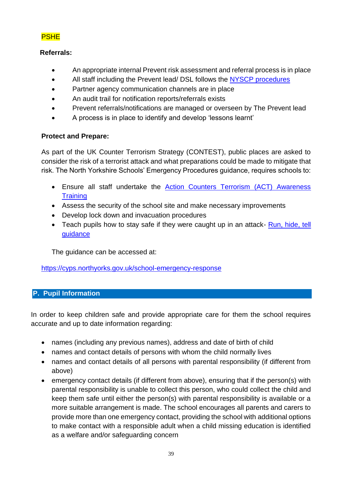#### PSHE

#### **Referrals:**

- An appropriate internal Prevent risk assessment and referral process is in place
- All staff including the Prevent lead/ DSL follows the NYSCP [procedures](https://www.safeguardingchildren.co.uk/professionals/nyscb-procedures/)
- Partner agency communication channels are in place
- An audit trail for notification reports/referrals exists
- Prevent referrals/notifications are managed or overseen by The Prevent lead
- A process is in place to identify and develop 'lessons learnt'

#### **Protect and Prepare:**

As part of the UK Counter Terrorism Strategy (CONTEST), public places are asked to consider the risk of a terrorist attack and what preparations could be made to mitigate that risk. The North Yorkshire Schools' Emergency Procedures guidance, requires schools to:

- Ensure all staff undertake the [Action Counters Terrorism \(ACT\) Awareness](https://ct.highfieldelearning.com/)  **[Training](https://ct.highfieldelearning.com/)**
- Assess the security of the school site and make necessary improvements
- Develop lock down and invacuation procedures
- Teach pupils how to stay safe if they were caught up in an attack- [Run, hide, tell](https://www.counterterrorism.police.uk/advice-for-young-people/) [guidance](https://www.counterterrorism.police.uk/advice-for-young-people/)

The guidance can be accessed at:

<https://cyps.northyorks.gov.uk/school-emergency-response>

#### <span id="page-38-0"></span>**P. Pupil Information**

In order to keep children safe and provide appropriate care for them the school requires accurate and up to date information regarding:

- names (including any previous names), address and date of birth of child
- names and contact details of persons with whom the child normally lives
- names and contact details of all persons with parental responsibility (if different from above)
- emergency contact details (if different from above), ensuring that if the person(s) with parental responsibility is unable to collect this person, who could collect the child and keep them safe until either the person(s) with parental responsibility is available or a more suitable arrangement is made. The school encourages all parents and carers to provide more than one emergency contact, providing the school with additional options to make contact with a responsible adult when a child missing education is identified as a welfare and/or safeguarding concern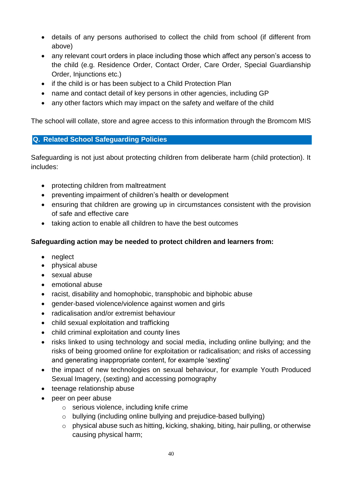- details of any persons authorised to collect the child from school (if different from above)
- any relevant court orders in place including those which affect any person's access to the child (e.g. Residence Order, Contact Order, Care Order, Special Guardianship Order, Injunctions etc.)
- if the child is or has been subject to a Child Protection Plan
- name and contact detail of key persons in other agencies, including GP
- any other factors which may impact on the safety and welfare of the child

The school will collate, store and agree access to this information through the Bromcom MIS

#### <span id="page-39-0"></span>**Q. Related School Safeguarding Policies**

Safeguarding is not just about protecting children from deliberate harm (child protection). It includes:

- protecting children from maltreatment
- preventing impairment of children's health or development
- ensuring that children are growing up in circumstances consistent with the provision of safe and effective care
- taking action to enable all children to have the best outcomes

#### **Safeguarding action may be needed to protect children and learners from:**

- neglect
- physical abuse
- sexual abuse
- emotional abuse
- racist, disability and homophobic, transphobic and biphobic abuse
- gender-based violence/violence against women and girls
- radicalisation and/or extremist behaviour
- child sexual exploitation and trafficking
- child criminal exploitation and county lines
- risks linked to using technology and social media, including online bullying; and the risks of being groomed online for exploitation or radicalisation; and risks of accessing and generating inappropriate content, for example 'sexting'
- the impact of new technologies on sexual behaviour, for example Youth Produced Sexual Imagery, (sexting) and accessing pornography
- teenage relationship abuse
- peer on peer abuse
	- o serious violence, including knife crime
	- o bullying (including online bullying and prejudice-based bullying)
	- o physical abuse such as hitting, kicking, shaking, biting, hair pulling, or otherwise causing physical harm;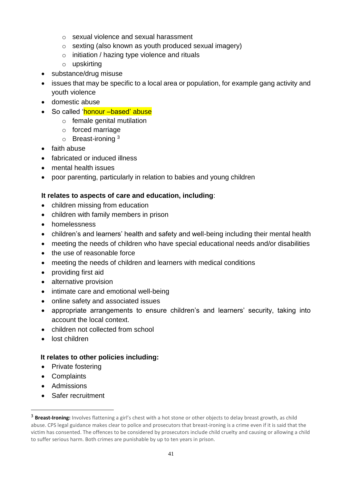- o sexual violence and sexual harassment
- o sexting (also known as youth produced sexual imagery)
- o initiation / hazing type violence and rituals
- o upskirting
- substance/drug misuse
- issues that may be specific to a local area or population, for example gang activity and youth violence
- domestic abuse
- So called 'honour based' abuse
	- o female genital mutilation
	- o forced marriage
	- $\circ$  Breast-ironing  $3$
- faith abuse
- fabricated or induced illness
- mental health issues
- poor parenting, particularly in relation to babies and young children

#### **It relates to aspects of care and education, including**:

- children missing from education
- children with family members in prison
- homelessness
- children's and learners' health and safety and well-being including their mental health
- meeting the needs of children who have special educational needs and/or disabilities
- the use of reasonable force
- meeting the needs of children and learners with medical conditions
- providing first aid
- alternative provision
- intimate care and emotional well-being
- online safety and associated issues
- appropriate arrangements to ensure children's and learners' security, taking into account the local context.
- children not collected from school
- lost children

#### **It relates to other policies including:**

- Private fostering
- Complaints
- Admissions

1

• Safer recruitment

<sup>&</sup>lt;sup>3</sup> Breast-Ironing: Involves flattening a girl's chest with a hot stone or other objects to delay breast growth, as child abuse. CPS legal guidance makes clear to police and prosecutors that breast-ironing is a crime even if it is said that the victim has consented. The offences to be considered by prosecutors include child cruelty and causing or allowing a child to suffer serious harm. Both crimes are punishable by up to ten years in prison.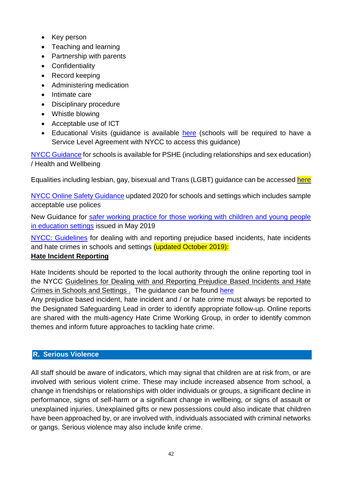- Key person
- Teaching and learning
- Partnership with parents
- Confidentiality
- Record keeping
- Administering medication
- Intimate care
- Disciplinary procedure
- Whistle blowing
- Acceptable use of ICT
- Educational Visits (guidance is available [here](http://visits.northyorks.gov.uk/) (schools will be required to have a Service Level Agreement with NYCC to access this guidance)

[NYCC Guidance](http://cyps.northyorks.gov.uk/health-wellbeing-pshe) for schools is available for PSHE (including relationships and sex education) / Health and Wellbeing

Equalities including lesbian, gay, bisexual and Trans (LGBT) guidance can be accessed [here](https://cyps.northyorks.gov.uk/equalities-and-diversity)

[NYCC Online Safety Guidance](http://cyps.northyorks.gov.uk/online-safety) updated 2020 for schools and settings which includes sample acceptable use polices

New Guidance for [safer working practice for those working with children and young people](https://www.saferrecruitmentconsortium.org/)  [in education settings](https://www.saferrecruitmentconsortium.org/) issued in May 2019

[NYCC: Guidelines](https://cyps.northyorks.gov.uk/sites/default/files/Supporting%20Children%20and%20Families/Equalities%20and%20diversity/Guidelines%20for%20dealing%20with%20and%20reporting%20prejudice%20and%20hate%20based%20incidents%20and%20hate%20crimes,%20Oct%202019.pdf) for dealing with and reporting prejudice based incidents, hate incidents and hate crimes in schools and settings (updated October 2019):

#### **Hate Incident Reporting**

Hate Incidents should be reported to the local authority through the online reporting tool in the NYCC [Guidelines for Dealing with and Reporting Prejudice Based Incidents and Hate](https://cyps.northyorks.gov.uk/sites/default/files/Supporting%20Children%20and%20Families/Equalities%20and%20diversity/Guidelines%20for%20dealing%20with%20and%20reporting%20prejudice%20and%20hate%20based%20incidents%20and%20hate%20crimes,%20Oct%202019.pdf)  Crimes in Schools and Settings. The guidance can be found [here](https://cyps.northyorks.gov.uk/equalities-and-diversity)

Any prejudice based incident, hate incident and / or hate crime must always be reported to the Designated Safeguarding Lead in order to identify appropriate follow-up. Online reports are shared with the multi-agency Hate Crime Working Group, in order to identify common themes and inform future approaches to tackling hate crime.

#### <span id="page-41-0"></span>**R. Serious Violence**

All staff should be aware of indicators, which may signal that children are at risk from, or are involved with serious violent crime. These may include increased absence from school, a change in friendships or relationships with older individuals or groups, a significant decline in performance, signs of self-harm or a significant change in wellbeing, or signs of assault or unexplained injuries. Unexplained gifts or new possessions could also indicate that children have been approached by, or are involved with, individuals associated with criminal networks or gangs. Serious violence may also include knife crime.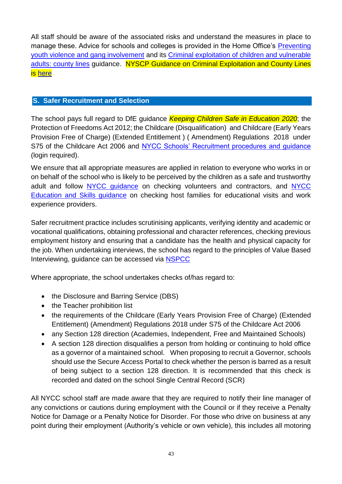All staff should be aware of the associated risks and understand the measures in place to manage these. Advice for schools and colleges is provided in the Home Office's [Preventing](https://www.gov.uk/government/publications/advice-to-schools-and-colleges-on-gangs-and-youth-violence)  [youth violence and gang involvement](https://www.gov.uk/government/publications/advice-to-schools-and-colleges-on-gangs-and-youth-violence) and its [Criminal exploitation of children and vulnerable](https://www.gov.uk/government/publications/criminal-exploitation-of-children-and-vulnerable-adults-county-lines)  [adults: county lines](https://www.gov.uk/government/publications/criminal-exploitation-of-children-and-vulnerable-adults-county-lines) guidance. NYSCP Guidance on Criminal Exploitation and County Lines is [here](https://www.safeguardingchildren.co.uk/professionals/practice-guidance/)

#### <span id="page-42-0"></span>**S. Safer Recruitment and Selection**

The school pays full regard to DfE guidance *Keeping Children Safe in Education 2020*; the Protection of Freedoms Act 2012; the Childcare (Disqualification) and Childcare (Early Years Provision Free of Charge) (Extended Entitlement ) ( Amendment) Regulations 2018 under S75 of the Childcare Act 2006 and [NYCC Schools' Recruitment procedures and guidance](https://cyps.northyorks.gov.uk/hrpages) (login required).

We ensure that all appropriate measures are applied in relation to everyone who works in or on behalf of the school who is likely to be perceived by the children as a safe and trustworthy adult and follow [NYCC guidance](http://cyps.northyorks.gov.uk/hr-safeguarding) on checking volunteers and contractors, and [NYCC](http://visits.northyorks.gov.uk/)  [Education and Skills guidance](http://visits.northyorks.gov.uk/) on checking host families for educational visits and work experience providers.

Safer recruitment practice includes scrutinising applicants, verifying identity and academic or vocational qualifications, obtaining professional and character references, checking previous employment history and ensuring that a candidate has the health and physical capacity for the job. When undertaking interviews, the school has regard to the principles of Value Based Interviewing, guidance can be accessed via [NSPCC](http://www.nspcc.org.uk/)

Where appropriate, the school undertakes checks of/has regard to:

- the Disclosure and Barring Service (DBS)
- the Teacher prohibition list
- the requirements of the Childcare (Early Years Provision Free of Charge) (Extended Entitlement) (Amendment) Regulations 2018 under S75 of the Childcare Act 2006
- any Section 128 direction (Academies, Independent, Free and Maintained Schools)
- A section 128 direction disqualifies a person from holding or continuing to hold office as a governor of a maintained school. When proposing to recruit a Governor, schools should use the Secure Access Portal to check whether the person is barred as a result of being subject to a section 128 direction. It is recommended that this check is recorded and dated on the school Single Central Record (SCR)

All NYCC school staff are made aware that they are required to notify their line manager of any convictions or cautions during employment with the Council or if they receive a Penalty Notice for Damage or a Penalty Notice for Disorder. For those who drive on business at any point during their employment (Authority's vehicle or own vehicle), this includes all motoring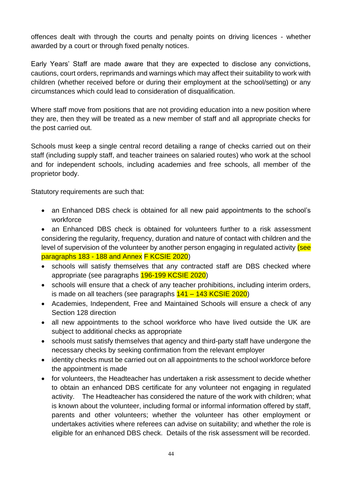offences dealt with through the courts and penalty points on driving licences - whether awarded by a court or through fixed penalty notices.

Early Years' Staff are made aware that they are expected to disclose any convictions, cautions, court orders, reprimands and warnings which may affect their suitability to work with children (whether received before or during their employment at the school/setting) or any circumstances which could lead to consideration of disqualification.

Where staff move from positions that are not providing education into a new position where they are, then they will be treated as a new member of staff and all appropriate checks for the post carried out.

Schools must keep a single central record detailing a range of checks carried out on their staff (including supply staff, and teacher trainees on salaried routes) who work at the school and for independent schools, including academies and free schools, all member of the proprietor body.

Statutory requirements are such that:

- an Enhanced DBS check is obtained for all new paid appointments to the school's workforce
- an Enhanced DBS check is obtained for volunteers further to a risk assessment considering the regularity, frequency, duration and nature of contact with children and the level of supervision of the volunteer by another person engaging in regulated activity (see paragraphs 183 - 188 and Annex F KCSIE 2020)
- schools will satisfy themselves that any contracted staff are DBS checked where appropriate (see paragraphs 196-199 KCSIE 2020)
- schools will ensure that a check of any teacher prohibitions, including interim orders, is made on all teachers (see paragraphs 141 – 143 KCSIE 2020)
- Academies, Independent, Free and Maintained Schools will ensure a check of any Section 128 direction
- all new appointments to the school workforce who have lived outside the UK are subject to additional checks as appropriate
- schools must satisfy themselves that agency and third-party staff have undergone the necessary checks by seeking confirmation from the relevant employer
- identity checks must be carried out on all appointments to the school workforce before the appointment is made
- for volunteers, the Headteacher has undertaken a risk assessment to decide whether to obtain an enhanced DBS certificate for any volunteer not engaging in regulated activity. The Headteacher has considered the nature of the work with children; what is known about the volunteer, including formal or informal information offered by staff, parents and other volunteers; whether the volunteer has other employment or undertakes activities where referees can advise on suitability; and whether the role is eligible for an enhanced DBS check. Details of the risk assessment will be recorded.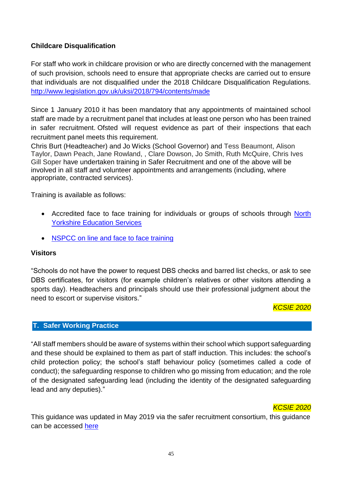#### **Childcare Disqualification**

For staff who work in childcare provision or who are directly concerned with the management of such provision, schools need to ensure that appropriate checks are carried out to ensure that individuals are not disqualified under the 2018 Childcare Disqualification Regulations. <http://www.legislation.gov.uk/uksi/2018/794/contents/made>

Since 1 January 2010 it has been mandatory that any appointments of maintained school staff are made by a recruitment panel that includes at least one person who has been trained in safer recruitment. Ofsted will request evidence as part of their inspections that each recruitment panel meets this requirement.

Chris Burt (Headteacher) and Jo Wicks (School Governor) and Tess Beaumont, Alison Taylor, Dawn Peach, Jane Rowland, , Clare Dowson, Jo Smith, Ruth McQuire, Chris Ives Gill Soper have undertaken training in Safer Recruitment and one of the above will be involved in all staff and volunteer appointments and arrangements (including, where appropriate, contracted services).

Training is available as follows:

- Accredited face to face training for individuals or groups of schools through North [Yorkshire Education Services](http://nyestraining.co.uk/)
- [NSPCC on line and face to face training](https://www.nspcc.org.uk/what-you-can-do/get-expert-training/safer-recruitment-training/)

#### **Visitors**

"Schools do not have the power to request DBS checks and barred list checks, or ask to see DBS certificates, for visitors (for example children's relatives or other visitors attending a sports day). Headteachers and principals should use their professional judgment about the need to escort or supervise visitors."

#### *KCSIE 2020*

#### <span id="page-44-0"></span>**T. Safer Working Practice**

"All staff members should be aware of systems within their school which support safeguarding and these should be explained to them as part of staff induction. This includes: the school's child protection policy; the school's staff behaviour policy (sometimes called a code of conduct); the safeguarding response to children who go missing from education; and the role of the designated safeguarding lead (including the identity of the designated safeguarding lead and any deputies)."

#### *KCSIE 2020*

This guidance was updated in May 2019 via the safer recruitment consortium, this guidance can be accessed [here](https://www.saferrecruitmentconsortium.org/)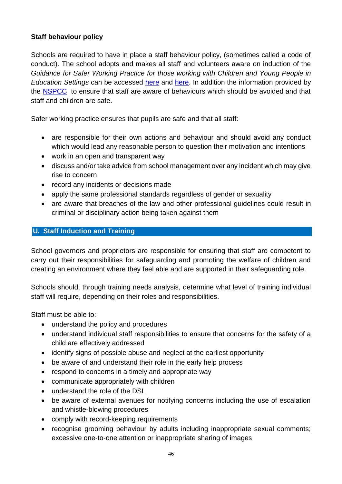#### **Staff behaviour policy**

Schools are required to have in place a staff behaviour policy, (sometimes called a code of conduct). The school adopts and makes all staff and volunteers aware on induction of the *Guidance for Safer Working Practice for those working with Children and Young People in Education Settings* can be accessed [here](http://cyps.northyorks.gov.uk/child-protection-and-safeguarding-schools) and [here.](http://www.saferrecruitmentconsortium.org/) In addition the information provided by the [NSPCC](http://www.nspcc.org.uk/preventing-abuse/child-abuse-and-neglect/grooming/) to ensure that staff are aware of behaviours which should be avoided and that staff and children are safe.

Safer working practice ensures that pupils are safe and that all staff:

- are responsible for their own actions and behaviour and should avoid any conduct which would lead any reasonable person to question their motivation and intentions
- work in an open and transparent way
- discuss and/or take advice from school management over any incident which may give rise to concern
- record any incidents or decisions made
- apply the same professional standards regardless of gender or sexuality
- are aware that breaches of the law and other professional guidelines could result in criminal or disciplinary action being taken against them

#### <span id="page-45-0"></span>**U. Staff Induction and Training**

School governors and proprietors are responsible for ensuring that staff are competent to carry out their responsibilities for safeguarding and promoting the welfare of children and creating an environment where they feel able and are supported in their safeguarding role.

Schools should, through training needs analysis, determine what level of training individual staff will require, depending on their roles and responsibilities.

Staff must be able to:

- understand the policy and procedures
- understand individual staff responsibilities to ensure that concerns for the safety of a child are effectively addressed
- identify signs of possible abuse and neglect at the earliest opportunity
- be aware of and understand their role in the early help process
- respond to concerns in a timely and appropriate way
- communicate appropriately with children
- understand the role of the DSL
- be aware of external avenues for notifying concerns including the use of escalation and whistle-blowing procedures
- comply with record-keeping requirements
- recognise grooming behaviour by adults including inappropriate sexual comments; excessive one-to-one attention or inappropriate sharing of images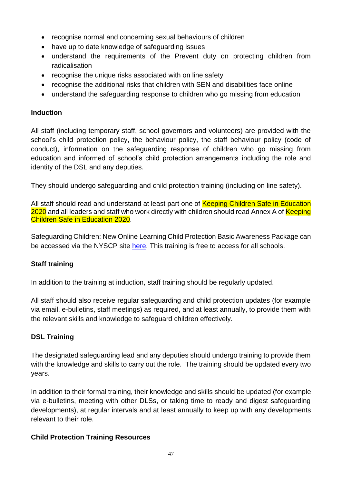- recognise normal and concerning sexual behaviours of children
- have up to date knowledge of safeguarding issues
- understand the requirements of the Prevent duty on protecting children from radicalisation
- recognise the unique risks associated with on line safety
- recognise the additional risks that children with SEN and disabilities face online
- understand the safeguarding response to children who go missing from education

#### **Induction**

All staff (including temporary staff, school governors and volunteers) are provided with the school's child protection policy, the behaviour policy, the staff behaviour policy (code of conduct), information on the safeguarding response of children who go missing from education and informed of school's child protection arrangements including the role and identity of the DSL and any deputies.

They should undergo safeguarding and child protection training (including on line safety).

All staff should read and understand at least part one of Keeping Children Safe in Education 2020 and all leaders and staff who work directly with children should read Annex A of Keeping Children Safe in Education 2020.

Safeguarding Children: New Online Learning Child Protection Basic Awareness Package can be accessed via the NYSCP site [here.](http://www.safeguardingchildren.co.uk/learning-improvement/training-courses) This training is free to access for all schools.

#### **Staff training**

In addition to the training at induction, staff training should be regularly updated.

All staff should also receive regular safeguarding and child protection updates (for example via email, e-bulletins, staff meetings) as required, and at least annually, to provide them with the relevant skills and knowledge to safeguard children effectively.

#### **DSL Training**

The designated safeguarding lead and any deputies should undergo training to provide them with the knowledge and skills to carry out the role. The training should be updated every two years.

In addition to their formal training, their knowledge and skills should be updated (for example via e-bulletins, meeting with other DLSs, or taking time to ready and digest safeguarding developments), at regular intervals and at least annually to keep up with any developments relevant to their role.

#### **Child Protection Training Resources**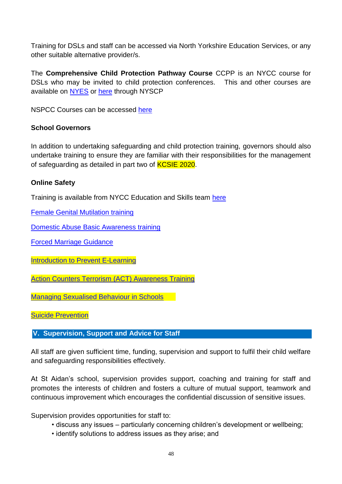Training for DSLs and staff can be accessed via North Yorkshire Education Services, or any other suitable alternative provider/s.

The **Comprehensive Child Protection Pathway Course** CCPP is an NYCC course for DSLs who may be invited to child protection conferences. This and other courses are available on [NYES](http://www.nyestraining.co.uk/) or [here](http://www.safeguardingchildren.co.uk/learning-improvement/training-courses) through NYSCP

NSPCC Courses can be accessed [here](https://learning.nspcc.org.uk/training/schools/)

#### **School Governors**

In addition to undertaking safeguarding and child protection training, governors should also undertake training to ensure they are familiar with their responsibilities for the management of safeguarding as detailed in part two of **KCSIE 2020**.

#### **Online Safety**

Training is available from NYCC Education and Skills team [here](http://nyeducationservices.co.uk/)

[Female Genital Mutilation training](http://www.fgmelearning.co.uk/)

[Domestic Abuse Basic Awareness training](https://courses.idas.org.uk/)

[Forced Marriage](https://www.gov.uk/forced-marriage) Guidance

[Introduction to Prevent E-Learning](https://www.elearning.prevent.homeoffice.gov.uk/)

Action Counters [Terrorism \(ACT\) Awareness Training](https://ct.highfieldelearning.com/)

[Managing Sexualised Behaviour in Schools](https://learning.nspcc.org.uk/training/schools/managing-sexualised-behaviour-in-schools-online-courses/)

[Suicide Prevention](https://www.hee.nhs.uk/news-blogs-events/news/new-health-education-england-learning-tool-help-health-professionals-spot-early-warning-signs)

#### <span id="page-47-0"></span>**V. Supervision, Support and Advice for Staff**

All staff are given sufficient time, funding, supervision and support to fulfil their child welfare and safeguarding responsibilities effectively.

At St Aidan's school, supervision provides support, coaching and training for staff and promotes the interests of children and fosters a culture of mutual support, teamwork and continuous improvement which encourages the confidential discussion of sensitive issues.

Supervision provides opportunities for staff to:

- discuss any issues particularly concerning children's development or wellbeing;
- identify solutions to address issues as they arise; and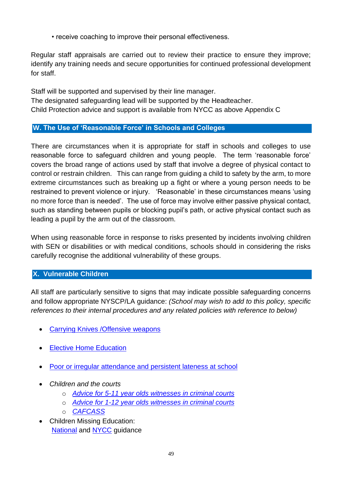• receive coaching to improve their personal effectiveness.

Regular staff appraisals are carried out to review their practice to ensure they improve; identify any training needs and secure opportunities for continued professional development for staff.

Staff will be supported and supervised by their line manager. The designated safeguarding lead will be supported by the Headteacher. Child Protection advice and support is available from NYCC as above Appendix C

### <span id="page-48-0"></span>**W. The Use of 'Reasonable Force' in Schools and Colleges**

There are circumstances when it is appropriate for staff in schools and colleges to use reasonable force to safeguard children and young people. The term 'reasonable force' covers the broad range of actions used by staff that involve a degree of physical contact to control or restrain children. This can range from guiding a child to safety by the arm, to more extreme circumstances such as breaking up a fight or where a young person needs to be restrained to prevent violence or injury. 'Reasonable' in these circumstances means 'using no more force than is needed'. The use of force may involve either passive physical contact, such as standing between pupils or blocking pupil's path, or active physical contact such as leading a pupil by the arm out of the classroom.

When using reasonable force in response to risks presented by incidents involving children with SEN or disabilities or with medical conditions, schools should in considering the risks carefully recognise the additional vulnerability of these groups.

#### <span id="page-48-1"></span>**X. Vulnerable Children**

All staff are particularly sensitive to signs that may indicate possible safeguarding concerns and follow appropriate NYSCP/LA guidance: *(School may wish to add to this policy, specific references to their internal procedures and any related policies with reference to below)*

- **Carrying Knives / Offensive weapons**
- **[Elective Home Education](https://cyps.northyorks.gov.uk/elective-home-education)**
- [Poor or irregular attendance and persistent lateness at school](http://cyps.northyorks.gov.uk/school-attendance)
- *Children and the courts*
	- o *[Advice for 5-11 year olds witnesses in criminal courts](https://www.gov.uk/government/publications/young-witness-booklet-for-5-to-11-year-olds)*
	- o *[Advice for 1-12 year olds witnesses in criminal courts](https://www.gov.uk/government/publications/young-witness-booklet-for-12-to-17-year-olds)*
	- o *[CAFCASS](https://www.cafcass.gov.uk/)*
- Children Missing Education: **[National](https://www.gov.uk/government/publications/children-missing-education) and [NYCC](http://cyps.northyorks.gov.uk/children-missing-education) guidance**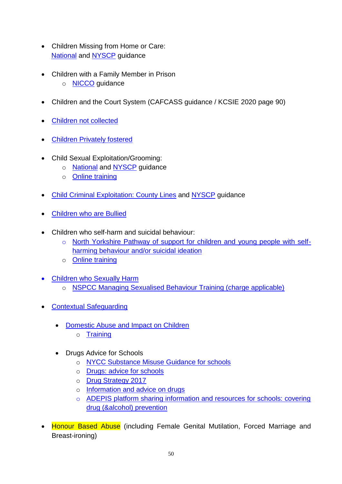- Children Missing from Home or Care: [National](https://www.gov.uk/government/publications/children-who-run-away-or-go-missing-from-home-or-care) and [NYSCP](https://www.safeguardingchildren.co.uk/professionals/practice-guidance/) guidance
- Children with a Family Member in Prison
	- o **[NICCO](https://www.nicco.org.uk/)** guidance
- Children and the Court System (CAFCASS guidance / KCSIE 2020 page 90)
- [Children not collected](http://cyps.northyorks.gov.uk/child-protection-and-safeguarding-schools)
- [Children Privately fostered](http://www.safeguardingchildren.co.uk/professionals/private-fostering)
- Child Sexual Exploitation/Grooming:
	- o **[National](https://www.gov.uk/government/publications/child-sexual-exploitation-definition-and-guide-for-practitioners) and [NYSCP](http://www.safeguardingchildren.co.uk/professionals/practice-guidance)** guidance
	- o [Online training](http://www.safeguardingchildren.co.uk/learning-improvement/training-courses)
- **[Child Criminal Exploitation: County Lines](https://www.gov.uk/government/publications/criminal-exploitation-of-children-and-vulnerable-adults-county-lines) and [NYSCP](http://www.safeguardingchildren.co.uk/professionals/practice-guidance/) guidance**
- [Children who are Bullied](https://www.gov.uk/government/publications/preventing-and-tackling-bullying)
- Children who self-harm and suicidal behaviour:
	- o [North Yorkshire Pathway of support for children and young people with self](https://www.safeguardingchildren.co.uk/professionals/practice-guidance/)[harming behaviour and/or suicidal ideation](https://www.safeguardingchildren.co.uk/professionals/practice-guidance/)
	- o [Online training](http://www.safeguardingchildren.co.uk/learning-improvement/training-courses)
	- [Children who Sexually Harm](https://www.safeguardingchildren.co.uk/professionals/practice-guidance/) o [NSPCC Managing Sexualised Behaviour Training \(charge applicable\)](https://learning.nspcc.org.uk/training/harmful-sexual-behaviour-hsb-schools)
- [Contextual Safeguarding](https://contextualsafeguarding.org.uk/about/what-is-contextual-safeguarding)
	- Domestic Abuse [and Impact on Children](https://www.safeguardingchildren.co.uk/professionals/practice-guidance/)
		- o [Training](http://www.safeguardingchildren.co.uk/learning-improvement/training-courses)
	- Drugs Advice for Schools
		- o [NYCC Substance Misuse Guidance for schools](https://cyps.northyorks.gov.uk/health-wellbeing-pshe)
		- o [Drugs: advice for schools](https://www.gov.uk/government/publications/drugs-advice-for-schools)
		- o [Drug Strategy 2017](https://www.gov.uk/government/publications/drug-strategy-2017)
		- o [Information and advice on drugs](https://www.talktofrank.com/)
		- o [ADEPIS platform sharing information and resources for schools: covering](https://www.gov.uk/government/news/government-funds-school-resource-for-drug-and-alcohol-prevention)  [drug \(&alcohol\) prevention](https://www.gov.uk/government/news/government-funds-school-resource-for-drug-and-alcohol-prevention)
- Honour Based Abuse (including Female Genital Mutilation, Forced Marriage and Breast-ironing)